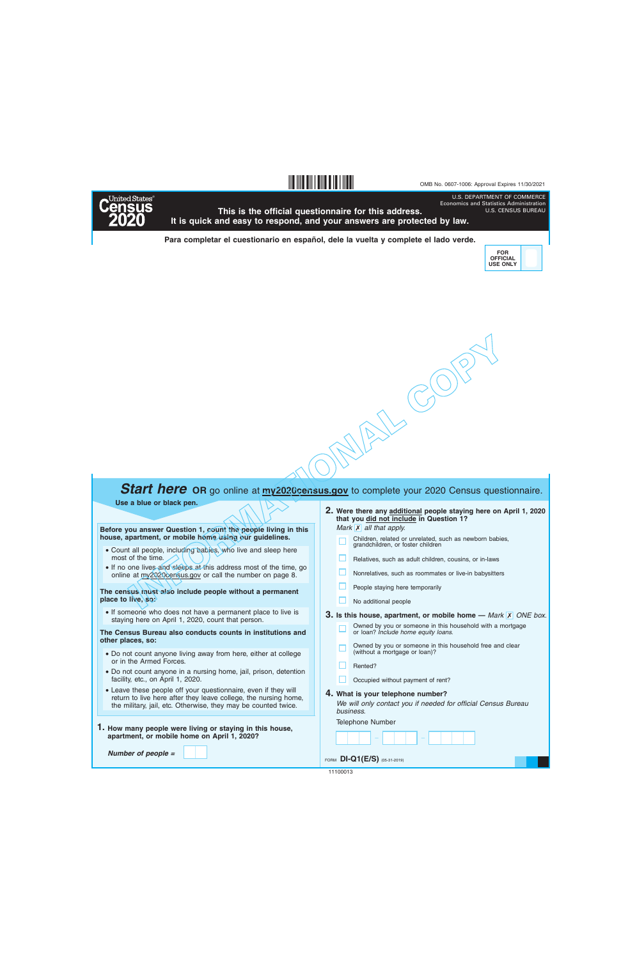U.S. DEPARTMENT OF COMMERCE Economics and Statistics Administration



**This is the official questionnaire for this address. It is quick and easy to respond, and your answers are protected by law.**

**§,+!.¤**

**Para completar el cuestionario en español, dele la vuelta y complete el lado verde.**



U.S. CENSUS BUREAU

**INFORMATION**<br> **INFORMATION**<br> **INFORMATION**<br> **INFORMATION**<br> **INFORMATION**<br> **INFORMATION**<br> **INFORMATION**<br> **INFORMATION**<br> **INFORMATION**<br> **INFORMATION**<br> **INFORMATION**<br> **INFORMATION**<br> **INFORMATION**<br> **INFORMATION**<br> **INFORMATION** 

## **Start here** OR go online at **my2020census.gov** to complete your 2020 Census questionnaire.

**Use a blue or black pen.**

**Before you answer Question 1, count the people living in this house, apartment, or mobile home using our guidelines.**

- Count all people, including babies, who live and sleep here most of the time.
- If no one lives and sleeps at this address most of the time, go online at my2020census.gov or call the number on page 8.

**The census must also include people without a permanent place to live, so:**

• If someone who does not have a permanent place to live is staying here on April 1, 2020, count that person.

**The Census Bureau also conducts counts in institutions and other places, so:**

- Do not count anyone living away from here, either at college or in the Armed Forces.
- Do not count anyone in a nursing home, jail, prison, detention facility, etc., on April 1, 2020.
- Leave these people off your questionnaire, even if they will return to live here after they leave college, the nursing home, the military, jail, etc. Otherwise, they may be counted twice.
- **1. How many people were living or staying in this house, apartment, or mobile home on April 1, 2020?**

*Number of people =*

**Were there any additional people staying here on April 1, 2020 2. that you did not include in Question 1?**

*Mark* **X** all that apply.

- Children, related or unrelated, such as newborn babies, grandchildren, or foster children
- Relatives, such as adult children, cousins, or in-laws
- Nonrelatives, such as roommates or live-in babysitters
- People staying here temporarily
- No additional people

**3.** Is this house, apartment, or mobile home  $-$  *Mark*  $\overline{X}$  *ONE box.* 

- Owned by you or someone in this household with a mortgage or loan? *Include home equity loans.*
- Owned by you or someone in this household free and clear (without a mortgage or loan)?
- □. Rented?
- Occupied without payment of rent?

## **4. What is your telephone number?**

*We will only contact you if needed for official Census Bureau business.*

Telephone Number

– –

FORM **DI-Q1(E/S)** (05-31-2019)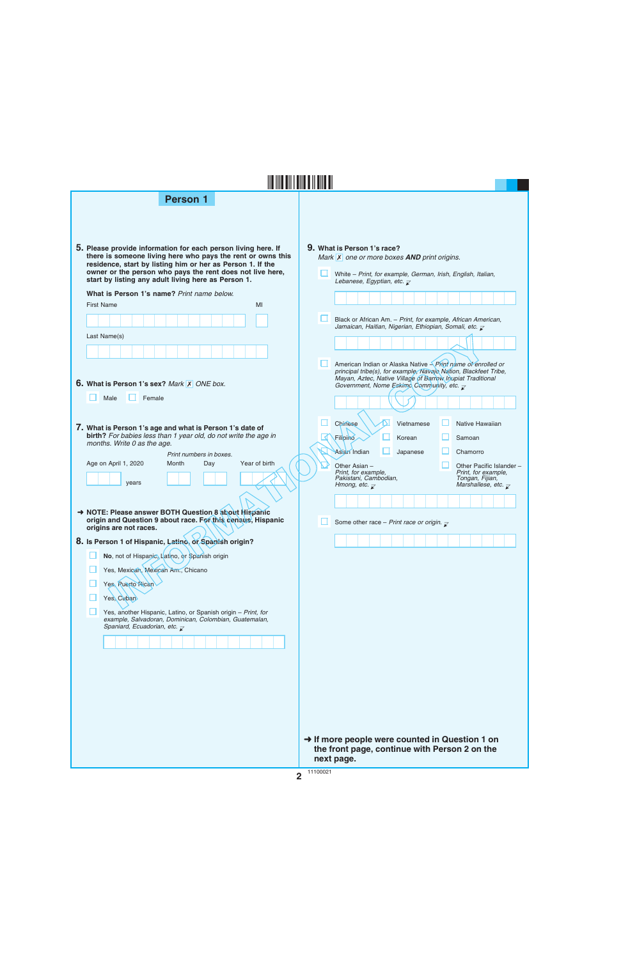| <b>Person 1</b>                                                                                                                                                                                                                                                                                                |                                                                                                                                                                                                                     |  |  |  |  |  |  |  |  |  |
|----------------------------------------------------------------------------------------------------------------------------------------------------------------------------------------------------------------------------------------------------------------------------------------------------------------|---------------------------------------------------------------------------------------------------------------------------------------------------------------------------------------------------------------------|--|--|--|--|--|--|--|--|--|
| 5. Please provide information for each person living here. If<br>there is someone living here who pays the rent or owns this<br>residence, start by listing him or her as Person 1. If the<br>owner or the person who pays the rent does not live here,<br>start by listing any adult living here as Person 1. | 9. What is Person 1's race?<br>Mark $\overline{X}$ one or more boxes <b>AND</b> print origins.<br>White - Print, for example, German, Irish, English, Italian,<br>Lebanese, Egyptian, etc. $\overline{\mathcal{L}}$ |  |  |  |  |  |  |  |  |  |
| What is Person 1's name? Print name below.                                                                                                                                                                                                                                                                     |                                                                                                                                                                                                                     |  |  |  |  |  |  |  |  |  |
| <b>First Name</b><br>MI                                                                                                                                                                                                                                                                                        |                                                                                                                                                                                                                     |  |  |  |  |  |  |  |  |  |
|                                                                                                                                                                                                                                                                                                                | Black or African Am. - Print, for example, African American,<br>Jamaican, Haitian, Nigerian, Ethiopian, Somali, etc. $\bar{\mathcal{L}}$                                                                            |  |  |  |  |  |  |  |  |  |
| Last Name(s)                                                                                                                                                                                                                                                                                                   |                                                                                                                                                                                                                     |  |  |  |  |  |  |  |  |  |
| 6. What is Person 1's sex? Mark X ONE box.                                                                                                                                                                                                                                                                     | American Indian or Alaska Native <i>Print name of enrolled or</i><br>principal tribe(s), for example, Navajo Nation, Blackfeet Tribe,<br>Mayan, Aztec, Native Village of Barrow Inupiat Traditional                 |  |  |  |  |  |  |  |  |  |
|                                                                                                                                                                                                                                                                                                                | Government, Nome Eskimo Community, etc. $\overline{\mathcal{L}}$                                                                                                                                                    |  |  |  |  |  |  |  |  |  |
| Male<br>Female                                                                                                                                                                                                                                                                                                 |                                                                                                                                                                                                                     |  |  |  |  |  |  |  |  |  |
| 7. What is Person 1's age and what is Person 1's date of<br>birth? For babies less than 1 year old, do not write the age in<br>months. Write 0 as the age.                                                                                                                                                     | Chinese<br>Native Hawaiian<br>Vietnamese<br>Filipino<br>Korean<br>Samoan                                                                                                                                            |  |  |  |  |  |  |  |  |  |
| Print numbers in boxes.                                                                                                                                                                                                                                                                                        | Asian Indian<br>Chamorro<br>Japanese                                                                                                                                                                                |  |  |  |  |  |  |  |  |  |
| Age on April 1, 2020<br>Month<br>Year of birth<br>Day<br>years                                                                                                                                                                                                                                                 | Other Asian -<br>Other Pacific Islander -<br>Print, for example,<br>Print, for example,<br>Pakistani, Cambodian,<br>Tongan, Fijian,<br>Marshallese, etc. $\overline{\chi}$<br>Hmong, etc. $\overline{\mathcal{C}}$  |  |  |  |  |  |  |  |  |  |
| → NOTE: Please answer BOTH Question 8 about Hispanic                                                                                                                                                                                                                                                           |                                                                                                                                                                                                                     |  |  |  |  |  |  |  |  |  |
| origin and Question 9 about race. For this census, Hispanic<br>origins are not races.                                                                                                                                                                                                                          | Some other race – Print race or origin. $\overline{\chi}$                                                                                                                                                           |  |  |  |  |  |  |  |  |  |
| 8. Is Person 1 of Hispanic, Latino, or Spanish origin?                                                                                                                                                                                                                                                         |                                                                                                                                                                                                                     |  |  |  |  |  |  |  |  |  |
| No, not of Hispanic, Latino, or Spanish origin                                                                                                                                                                                                                                                                 |                                                                                                                                                                                                                     |  |  |  |  |  |  |  |  |  |
| Yes, Mexican, Mexican Am., Chicano                                                                                                                                                                                                                                                                             |                                                                                                                                                                                                                     |  |  |  |  |  |  |  |  |  |
| Yes, Ruerto Rican                                                                                                                                                                                                                                                                                              |                                                                                                                                                                                                                     |  |  |  |  |  |  |  |  |  |
| Yes, Cuban                                                                                                                                                                                                                                                                                                     |                                                                                                                                                                                                                     |  |  |  |  |  |  |  |  |  |
| Yes, another Hispanic, Latino, or Spanish origin - Print, for<br>example, Salvadoran, Dominican, Colombian, Guatemalan,                                                                                                                                                                                        |                                                                                                                                                                                                                     |  |  |  |  |  |  |  |  |  |
| Spaniard, Ecuadorian, etc. $\overline{\mathcal{L}}$                                                                                                                                                                                                                                                            |                                                                                                                                                                                                                     |  |  |  |  |  |  |  |  |  |
|                                                                                                                                                                                                                                                                                                                |                                                                                                                                                                                                                     |  |  |  |  |  |  |  |  |  |
|                                                                                                                                                                                                                                                                                                                |                                                                                                                                                                                                                     |  |  |  |  |  |  |  |  |  |
|                                                                                                                                                                                                                                                                                                                |                                                                                                                                                                                                                     |  |  |  |  |  |  |  |  |  |
|                                                                                                                                                                                                                                                                                                                |                                                                                                                                                                                                                     |  |  |  |  |  |  |  |  |  |
|                                                                                                                                                                                                                                                                                                                |                                                                                                                                                                                                                     |  |  |  |  |  |  |  |  |  |
|                                                                                                                                                                                                                                                                                                                |                                                                                                                                                                                                                     |  |  |  |  |  |  |  |  |  |
|                                                                                                                                                                                                                                                                                                                |                                                                                                                                                                                                                     |  |  |  |  |  |  |  |  |  |

**→ If more people were counted in Question 1 on the front page, continue with Person 2 on the next page.**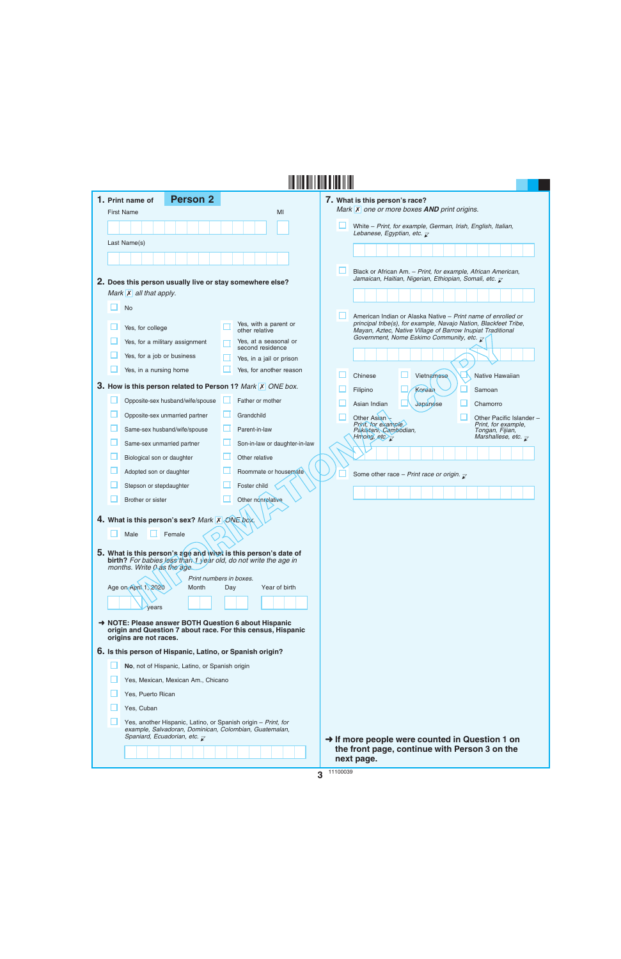| 1. Print name of                                         | <b>Person 2</b>                                                                                                                                                                |     |                                                                                                                                   |          | 7. What is this person's race?                                                                                                 |
|----------------------------------------------------------|--------------------------------------------------------------------------------------------------------------------------------------------------------------------------------|-----|-----------------------------------------------------------------------------------------------------------------------------------|----------|--------------------------------------------------------------------------------------------------------------------------------|
| <b>First Name</b>                                        |                                                                                                                                                                                |     | MI                                                                                                                                |          | Mark $\overline{X}$ one or more boxes <b>AND</b> print origins.                                                                |
|                                                          |                                                                                                                                                                                |     |                                                                                                                                   |          | White - Print, for example, German, Irish, English, Italian,<br>Lebanese, Egyptian, etc. $\overline{\mathcal{L}}$              |
| Last Name(s)                                             |                                                                                                                                                                                |     |                                                                                                                                   |          |                                                                                                                                |
|                                                          |                                                                                                                                                                                |     |                                                                                                                                   |          |                                                                                                                                |
|                                                          |                                                                                                                                                                                |     |                                                                                                                                   |          | Black or African Am. - Print, for example, African American,                                                                   |
| 2. Does this person usually live or stay somewhere else? |                                                                                                                                                                                |     |                                                                                                                                   |          | Jamaican, Haitian, Nigerian, Ethiopian, Somali, etc. $\bar{\mathcal{L}}$                                                       |
| Mark $\mathsf{X}$ all that apply.                        |                                                                                                                                                                                |     |                                                                                                                                   |          |                                                                                                                                |
| <b>No</b>                                                |                                                                                                                                                                                |     |                                                                                                                                   |          | American Indian or Alaska Native – Print name of enrolled or                                                                   |
| Yes, for college                                         |                                                                                                                                                                                |     | Yes, with a parent or<br>other relative                                                                                           |          | principal tribe(s), for example, Navajo Nation, Blackfeet Tribe,<br>Mayan, Aztec, Native Village of Barrow Inupiat Traditional |
|                                                          | Yes, for a military assignment                                                                                                                                                 |     | Yes, at a seasonal or<br>second residence                                                                                         |          | Government, Nome Eskimo Community, etc. $\overline{z}$                                                                         |
| Yes, for a job or business                               |                                                                                                                                                                                |     | Yes, in a jail or prison                                                                                                          |          |                                                                                                                                |
| Yes, in a nursing home                                   |                                                                                                                                                                                |     | Yes, for another reason                                                                                                           |          | Chinese<br>Vietnamese<br>Native Hawaiian                                                                                       |
|                                                          |                                                                                                                                                                                |     | 3. How is this person related to Person 1? Mark X ONE box.                                                                        |          | Korean<br>Filipino<br>Samoan                                                                                                   |
|                                                          | Opposite-sex husband/wife/spouse                                                                                                                                               |     | Father or mother                                                                                                                  |          | Japanese<br>Asian Indian<br>Chamorro                                                                                           |
|                                                          | Opposite-sex unmarried partner                                                                                                                                                 | ш   | Grandchild                                                                                                                        |          | Other Asian<br>Other Pacific Islander -                                                                                        |
|                                                          | Same-sex husband/wife/spouse                                                                                                                                                   |     | Parent-in-law                                                                                                                     |          | Print, for example.<br>Print, for example,<br>Pakistani, Cambodian,<br>Tongan, Fijian,                                         |
|                                                          | Same-sex unmarried partner                                                                                                                                                     |     | Son-in-law or daughter-in-law                                                                                                     |          | Hmong, etc $\overline{z}$<br>Marshallese, etc. $\overline{\mathcal{L}}$                                                        |
| Biological son or daughter                               |                                                                                                                                                                                |     | Other relative                                                                                                                    |          |                                                                                                                                |
| Adopted son or daughter                                  |                                                                                                                                                                                |     | Roommate or housemate                                                                                                             |          | Some other race - Print race or origin. $\mathbf{z}$                                                                           |
| Stepson or stepdaughter                                  |                                                                                                                                                                                |     | Foster child                                                                                                                      |          |                                                                                                                                |
| Brother or sister                                        |                                                                                                                                                                                |     | Other nonrelative                                                                                                                 |          |                                                                                                                                |
|                                                          |                                                                                                                                                                                |     |                                                                                                                                   |          |                                                                                                                                |
|                                                          | 4. What is this person's sex? Mark X ONE box.                                                                                                                                  |     |                                                                                                                                   |          |                                                                                                                                |
| Male                                                     | Female                                                                                                                                                                         |     |                                                                                                                                   |          |                                                                                                                                |
|                                                          |                                                                                                                                                                                |     | 5. What is this person's age and what is this person's date of<br>birth? For babies less than 1 year old, do not write the age in |          |                                                                                                                                |
| months. Write 0 as the age.                              |                                                                                                                                                                                |     |                                                                                                                                   |          |                                                                                                                                |
| Age on April 1, 2020                                     | Print numbers in boxes.<br>Month                                                                                                                                               | Day | Year of birth                                                                                                                     |          |                                                                                                                                |
|                                                          |                                                                                                                                                                                |     |                                                                                                                                   |          |                                                                                                                                |
| vears                                                    |                                                                                                                                                                                |     |                                                                                                                                   |          |                                                                                                                                |
| → NOTE: Please answer BOTH Question 6 about Hispanic     |                                                                                                                                                                                |     | origin and Question 7 about race. For this census, Hispanic                                                                       |          |                                                                                                                                |
| origins are not races.                                   |                                                                                                                                                                                |     |                                                                                                                                   |          |                                                                                                                                |
|                                                          | 6. Is this person of Hispanic, Latino, or Spanish origin?                                                                                                                      |     |                                                                                                                                   |          |                                                                                                                                |
|                                                          | No, not of Hispanic, Latino, or Spanish origin                                                                                                                                 |     |                                                                                                                                   |          |                                                                                                                                |
|                                                          | Yes, Mexican, Mexican Am., Chicano                                                                                                                                             |     |                                                                                                                                   |          |                                                                                                                                |
| Yes, Puerto Rican                                        |                                                                                                                                                                                |     |                                                                                                                                   |          |                                                                                                                                |
| Yes, Cuban                                               |                                                                                                                                                                                |     |                                                                                                                                   |          |                                                                                                                                |
|                                                          | Yes, another Hispanic, Latino, or Spanish origin - Print, for<br>example, Salvadoran, Dominican, Colombian, Guatemalan,<br>Spaniard, Ecuadorian, etc. $\overline{\mathcal{L}}$ |     |                                                                                                                                   |          | $\rightarrow$ If more people were counted in Question 1 on                                                                     |
|                                                          |                                                                                                                                                                                |     |                                                                                                                                   |          | the front page, continue with Person 3 on the                                                                                  |
|                                                          |                                                                                                                                                                                |     |                                                                                                                                   | 11100020 | next page.                                                                                                                     |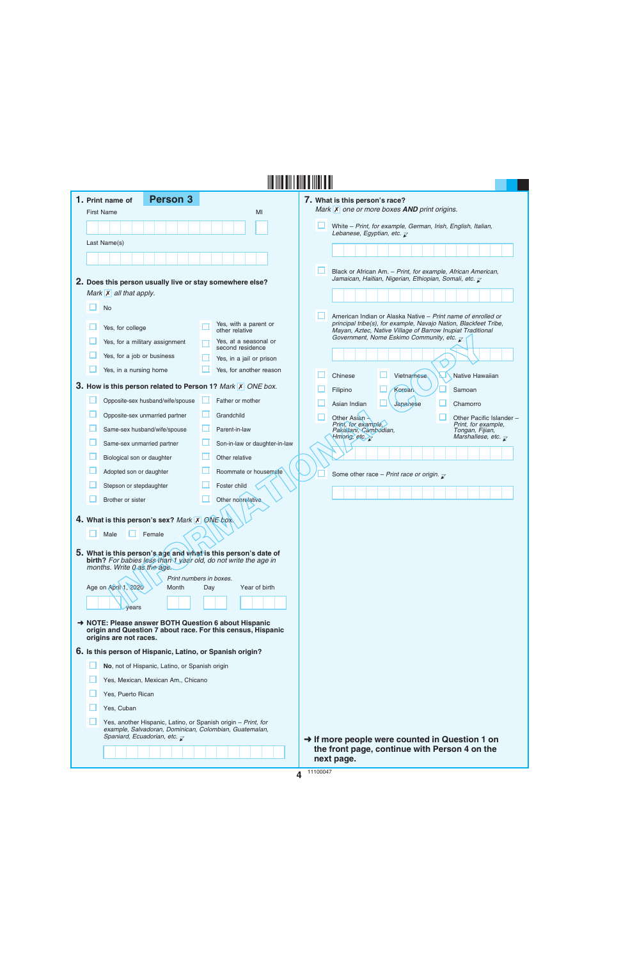|  | 1. Print name of                    | <b>Person 3</b>                                                                                        |     |                                                                                                                                   | 7. What is this person's race?                                                                                                 |
|--|-------------------------------------|--------------------------------------------------------------------------------------------------------|-----|-----------------------------------------------------------------------------------------------------------------------------------|--------------------------------------------------------------------------------------------------------------------------------|
|  | <b>First Name</b>                   |                                                                                                        |     | MI                                                                                                                                | Mark X one or more boxes AND print origins.                                                                                    |
|  |                                     |                                                                                                        |     |                                                                                                                                   | H<br>White - Print, for example, German, Irish, English, Italian,<br>Lebanese, Egyptian, etc. $\mathbb Z$                      |
|  | Last Name(s)                        |                                                                                                        |     |                                                                                                                                   |                                                                                                                                |
|  |                                     |                                                                                                        |     |                                                                                                                                   |                                                                                                                                |
|  |                                     |                                                                                                        |     |                                                                                                                                   | Black or African Am. - Print, for example, African American,                                                                   |
|  |                                     | 2. Does this person usually live or stay somewhere else?                                               |     |                                                                                                                                   | Jamaican, Haitian, Nigerian, Ethiopian, Somali, etc. $\overline{\mathcal{L}}$                                                  |
|  | Mark $\overline{X}$ all that apply. |                                                                                                        |     |                                                                                                                                   |                                                                                                                                |
|  | <b>No</b>                           |                                                                                                        |     |                                                                                                                                   | American Indian or Alaska Native - Print name of enrolled or                                                                   |
|  | Yes, for college                    |                                                                                                        |     | Yes, with a parent or<br>other relative                                                                                           | principal tribe(s), for example, Navajo Nation, Blackfeet Tribe,<br>Mayan, Aztec, Native Village of Barrow Inupiat Traditional |
|  |                                     | Yes, for a military assignment                                                                         |     | Yes, at a seasonal or<br>second residence                                                                                         | Government, Nome Eskimo Community, etc. $\overline{\mathcal{L}}$                                                               |
|  | Yes, for a job or business          |                                                                                                        |     | Yes, in a jail or prison                                                                                                          |                                                                                                                                |
|  | Yes, in a nursing home              |                                                                                                        |     | Yes, for another reason                                                                                                           | Chinese<br>Vietnamese<br>Native Hawaiian                                                                                       |
|  |                                     |                                                                                                        |     | 3. How is this person related to Person 1? Mark X ONE box.                                                                        | Kerean<br>Samoan<br>Filipino                                                                                                   |
|  |                                     | Opposite-sex husband/wife/spouse                                                                       |     | Father or mother                                                                                                                  | Asian Indian<br>Japanese<br>Chamorro                                                                                           |
|  |                                     | Opposite-sex unmarried partner                                                                         | ш   | Grandchild                                                                                                                        | Other Pacific Islander -<br>Other Asian -                                                                                      |
|  |                                     | Same-sex husband/wife/spouse                                                                           | ш   | Parent-in-law                                                                                                                     | Print, for example,<br>Print, for example,<br>Pakistani, Cambodian,<br>Tongan, Fijian,                                         |
|  |                                     | Same-sex unmarried partner                                                                             |     | Son-in-law or daughter-in-law                                                                                                     | Hmong, etc.<br>Marshallese, etc. $\overline{\mathcal{L}}$                                                                      |
|  | Biological son or daughter          |                                                                                                        |     | Other relative                                                                                                                    |                                                                                                                                |
|  | Adopted son or daughter             |                                                                                                        |     | Roommate or housemate                                                                                                             | Some other race - Print race or origin. $\bar{x}$                                                                              |
|  | Stepson or stepdaughter             |                                                                                                        |     | Foster child                                                                                                                      |                                                                                                                                |
|  | Brother or sister                   |                                                                                                        |     | Other nonrelative                                                                                                                 |                                                                                                                                |
|  |                                     | 4. What is this person's sex? Mark X ONE box.                                                          |     |                                                                                                                                   |                                                                                                                                |
|  | Male                                | Female                                                                                                 |     |                                                                                                                                   |                                                                                                                                |
|  |                                     |                                                                                                        |     |                                                                                                                                   |                                                                                                                                |
|  | months. Write 0 as the age.         |                                                                                                        |     | 5. What is this person's age and what is this person's date of<br>birth? For babies less than 1 year old, do not write the age in |                                                                                                                                |
|  |                                     | Print numbers in boxes.                                                                                |     |                                                                                                                                   |                                                                                                                                |
|  | Age on April 1, 2020                | Month                                                                                                  | Day | Year of birth                                                                                                                     |                                                                                                                                |
|  | vears                               |                                                                                                        |     |                                                                                                                                   |                                                                                                                                |
|  |                                     |                                                                                                        |     | → NOTE: Please answer BOTH Question 6 about Hispanic                                                                              |                                                                                                                                |
|  | origins are not races.              |                                                                                                        |     | origin and Question 7 about race. For this census, Hispanic                                                                       |                                                                                                                                |
|  |                                     | 6. Is this person of Hispanic, Latino, or Spanish origin?                                              |     |                                                                                                                                   |                                                                                                                                |
|  |                                     | No, not of Hispanic, Latino, or Spanish origin                                                         |     |                                                                                                                                   |                                                                                                                                |
|  |                                     | Yes, Mexican, Mexican Am., Chicano                                                                     |     |                                                                                                                                   |                                                                                                                                |
|  | Yes, Puerto Rican                   |                                                                                                        |     |                                                                                                                                   |                                                                                                                                |
|  | Yes, Cuban                          |                                                                                                        |     |                                                                                                                                   |                                                                                                                                |
|  |                                     | Yes, another Hispanic, Latino, or Spanish origin - Print, for                                          |     |                                                                                                                                   |                                                                                                                                |
|  |                                     | example, Salvadoran, Dominican, Colombian, Guatemalan,<br>Spaniard, Ecuadorian, etc. $\overline{\chi}$ |     |                                                                                                                                   | $\rightarrow$ If more people were counted in Question 1 on                                                                     |
|  |                                     |                                                                                                        |     |                                                                                                                                   | the front page, continue with Person 4 on the                                                                                  |
|  |                                     |                                                                                                        |     |                                                                                                                                   | next page.                                                                                                                     |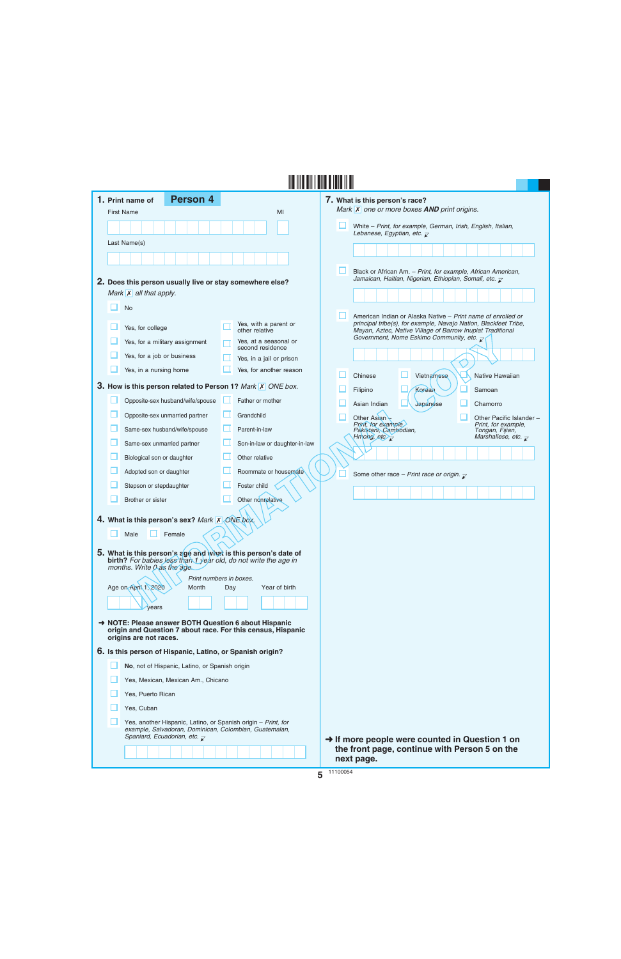|                                    | <b>Person 4</b><br>1. Print name of                                                                                                                                  |     |                                           |         | 7. What is this person's race?                                                                                                 |
|------------------------------------|----------------------------------------------------------------------------------------------------------------------------------------------------------------------|-----|-------------------------------------------|---------|--------------------------------------------------------------------------------------------------------------------------------|
|                                    | <b>First Name</b>                                                                                                                                                    |     | MI                                        |         | Mark $\overline{X}$ one or more boxes <b>AND</b> print origins.                                                                |
|                                    |                                                                                                                                                                      |     |                                           |         | White - Print, for example, German, Irish, English, Italian,<br>Lebanese, Egyptian, etc. $\overline{\mathsf{x}}$               |
|                                    | Last Name(s)                                                                                                                                                         |     |                                           |         |                                                                                                                                |
|                                    |                                                                                                                                                                      |     |                                           |         |                                                                                                                                |
|                                    |                                                                                                                                                                      |     |                                           |         | Black or African Am. - Print, for example, African American,                                                                   |
|                                    | 2. Does this person usually live or stay somewhere else?                                                                                                             |     |                                           |         | Jamaican, Haitian, Nigerian, Ethiopian, Somali, etc. $\overline{\mathcal{L}}$                                                  |
|                                    | Mark $X$ all that apply.                                                                                                                                             |     |                                           |         |                                                                                                                                |
|                                    | <b>No</b>                                                                                                                                                            |     |                                           |         | American Indian or Alaska Native – Print name of enrolled or                                                                   |
|                                    | Yes, for college                                                                                                                                                     |     | Yes, with a parent or<br>other relative   |         | principal tribe(s), for example, Navajo Nation, Blackfeet Tribe,<br>Mayan, Aztec, Native Village of Barrow Inupiat Traditional |
|                                    | Yes, for a military assignment                                                                                                                                       |     | Yes, at a seasonal or<br>second residence |         | Government, Nome Eskimo Community, etc. $\overline{z}$                                                                         |
|                                    | Yes, for a job or business                                                                                                                                           |     | Yes, in a jail or prison                  |         |                                                                                                                                |
|                                    | Yes, in a nursing home                                                                                                                                               |     | Yes, for another reason                   |         | Chinese<br>Vietnamese<br>Native Hawaiian                                                                                       |
|                                    | 3. How is this person related to Person 1? Mark X ONE box.                                                                                                           |     |                                           |         | Korean<br>Filipino<br>Samoan                                                                                                   |
|                                    | Opposite-sex husband/wife/spouse                                                                                                                                     |     | Father or mother                          |         | Asian Indian<br>Japanese<br>Chamorro                                                                                           |
|                                    | Opposite-sex unmarried partner                                                                                                                                       | ப   | Grandchild                                |         | Other Asian<br>Other Pacific Islander -                                                                                        |
|                                    | Same-sex husband/wife/spouse                                                                                                                                         |     | Parent-in-law                             |         | Print, for example<br>Print, for example,<br>Pakistani, Cambodian,<br>Tongan, Fijian,                                          |
|                                    | Same-sex unmarried partner                                                                                                                                           |     | Son-in-law or daughter-in-law             |         | Marshallese, etc. $\overline{\mathcal{L}}$<br>Hmong, etc $\overline{z}$                                                        |
|                                    | Biological son or daughter                                                                                                                                           |     | Other relative                            |         |                                                                                                                                |
|                                    | Adopted son or daughter                                                                                                                                              |     | Roommate or housemate                     |         | Some other race - Print race or origin. $\mathbf{r}$                                                                           |
|                                    | Stepson or stepdaughter                                                                                                                                              |     | Foster child                              |         |                                                                                                                                |
|                                    | Brother or sister                                                                                                                                                    |     | Other nonrelative                         |         |                                                                                                                                |
|                                    | 4. What is this person's sex? Mark X ONE box.                                                                                                                        |     |                                           |         |                                                                                                                                |
|                                    | Female<br>Male                                                                                                                                                       |     |                                           |         |                                                                                                                                |
|                                    |                                                                                                                                                                      |     |                                           |         |                                                                                                                                |
|                                    | 5. What is this person's age and what is this person's date of<br><b>birth?</b> For babies Jess than 1 year old, do not write the age in                             |     |                                           |         |                                                                                                                                |
|                                    | months. Write 0 as the age.<br>Print numbers in boxes.                                                                                                               |     |                                           |         |                                                                                                                                |
|                                    | Age on April 1, 2020<br>Month                                                                                                                                        | Day | Year of birth                             |         |                                                                                                                                |
|                                    | years                                                                                                                                                                |     |                                           |         |                                                                                                                                |
|                                    | A NOTE: Please answer BOTH Question 6 about Hispanic                                                                                                                 |     |                                           |         |                                                                                                                                |
|                                    | origin and Question 7 about race. For this census, Hispanic<br>origins are not races.                                                                                |     |                                           |         |                                                                                                                                |
|                                    | 6. Is this person of Hispanic, Latino, or Spanish origin?                                                                                                            |     |                                           |         |                                                                                                                                |
|                                    | No, not of Hispanic, Latino, or Spanish origin                                                                                                                       |     |                                           |         |                                                                                                                                |
| Yes, Mexican, Mexican Am., Chicano |                                                                                                                                                                      |     |                                           |         |                                                                                                                                |
|                                    | Yes, Puerto Rican                                                                                                                                                    |     |                                           |         |                                                                                                                                |
|                                    | Yes, Cuban                                                                                                                                                           |     |                                           |         |                                                                                                                                |
|                                    | Yes, another Hispanic, Latino, or Spanish origin - Print, for<br>example, Salvadoran, Dominican, Colombian, Guatemalan,<br>Spaniard, Ecuadorian, etc. $\overline{z}$ |     |                                           |         |                                                                                                                                |
|                                    |                                                                                                                                                                      |     |                                           |         | → If more people were counted in Question 1 on<br>the front page, continue with Person 5 on the<br>next page.                  |
|                                    |                                                                                                                                                                      |     |                                           | 444000E |                                                                                                                                |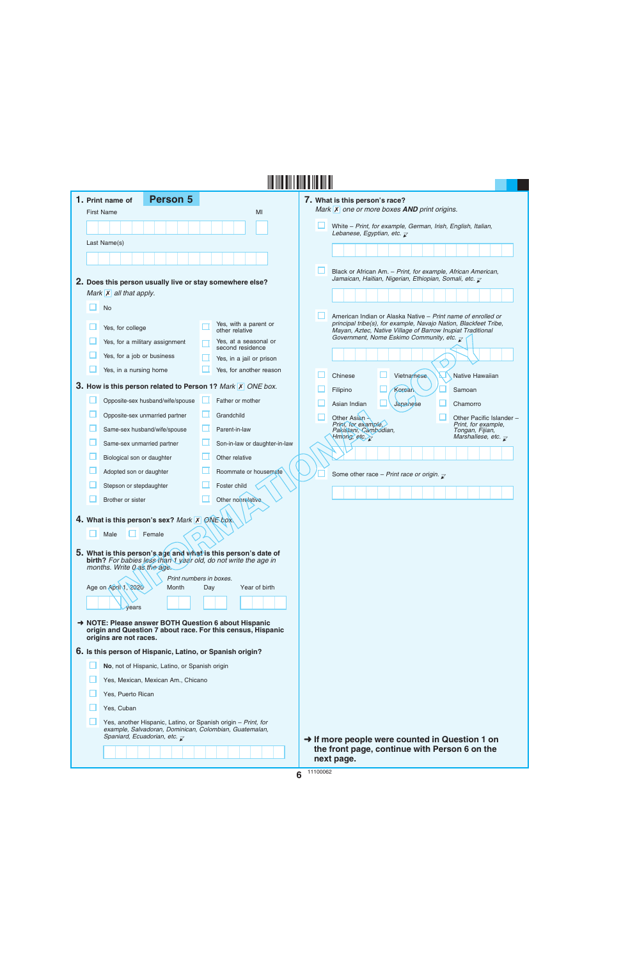|  | 1. Print name of                    | <b>Person 5</b>                                                                                                                                                         |     |                                                                 | 7. What is this person's race?                                                                                                                                                                     |  |
|--|-------------------------------------|-------------------------------------------------------------------------------------------------------------------------------------------------------------------------|-----|-----------------------------------------------------------------|----------------------------------------------------------------------------------------------------------------------------------------------------------------------------------------------------|--|
|  | <b>First Name</b>                   |                                                                                                                                                                         |     | MI                                                              | Mark <b>X</b> one or more boxes <b>AND</b> print origins.                                                                                                                                          |  |
|  |                                     |                                                                                                                                                                         |     |                                                                 | White - Print, for example, German, Irish, English, Italian,<br>Lebanese, Egyptian, etc. $\mathbb Z$                                                                                               |  |
|  | Last Name(s)                        |                                                                                                                                                                         |     |                                                                 |                                                                                                                                                                                                    |  |
|  |                                     |                                                                                                                                                                         |     |                                                                 |                                                                                                                                                                                                    |  |
|  |                                     |                                                                                                                                                                         |     |                                                                 | Black or African Am. - Print, for example, African American,<br>Jamaican, Haitian, Nigerian, Ethiopian, Somali, etc. $\bar{\mathcal{L}}$                                                           |  |
|  | Mark $\overline{X}$ all that apply. | 2. Does this person usually live or stay somewhere else?                                                                                                                |     |                                                                 |                                                                                                                                                                                                    |  |
|  | <b>No</b>                           |                                                                                                                                                                         |     |                                                                 |                                                                                                                                                                                                    |  |
|  |                                     |                                                                                                                                                                         |     |                                                                 | American Indian or Alaska Native - Print name of enrolled or                                                                                                                                       |  |
|  | Yes, for college                    |                                                                                                                                                                         |     | Yes, with a parent or<br>other relative                         | principal tribe(s), for example, Navajo Nation, Blackfeet Tribe,<br>Mayan, Aztec, Native Village of Barrow Inupiat Traditional<br>Government, Nome Eskimo Community, etc. $\overline{\mathcal{L}}$ |  |
|  |                                     | Yes, for a military assignment                                                                                                                                          |     | Yes, at a seasonal or<br>second residence                       |                                                                                                                                                                                                    |  |
|  | Yes, for a job or business          |                                                                                                                                                                         |     | Yes, in a jail or prison                                        |                                                                                                                                                                                                    |  |
|  | Yes, in a nursing home              |                                                                                                                                                                         |     | Yes, for another reason                                         | Chinese<br>Vietnamese<br>Native Hawaiian                                                                                                                                                           |  |
|  |                                     |                                                                                                                                                                         |     | 3. How is this person related to Person 1? Mark X ONE box.      | Kerean<br>Samoan<br>Filipino                                                                                                                                                                       |  |
|  |                                     | Opposite-sex husband/wife/spouse                                                                                                                                        |     | Father or mother                                                | Asian Indian<br>Japanese<br>Chamorro                                                                                                                                                               |  |
|  |                                     | Opposite-sex unmarried partner                                                                                                                                          | ш   | Grandchild                                                      | Other Asian -<br>Other Pacific Islander -                                                                                                                                                          |  |
|  |                                     | Same-sex husband/wife/spouse                                                                                                                                            | Ш   | Parent-in-law                                                   | Print, for example,<br>Print, for example,<br>Pakistani, Cambodian,<br>Tongan, Fijian,<br>Hmong, etc.<br>Marshallese, etc. $\overline{\mathcal{L}}$                                                |  |
|  |                                     | Same-sex unmarried partner                                                                                                                                              |     | Son-in-law or daughter-in-law                                   |                                                                                                                                                                                                    |  |
|  | Biological son or daughter          |                                                                                                                                                                         |     | Other relative                                                  |                                                                                                                                                                                                    |  |
|  | Adopted son or daughter             |                                                                                                                                                                         |     | Roommate or housemate                                           | Some other race - Print race or origin. $\bar{x}$                                                                                                                                                  |  |
|  | Stepson or stepdaughter             |                                                                                                                                                                         |     | Foster child                                                    |                                                                                                                                                                                                    |  |
|  | Brother or sister                   |                                                                                                                                                                         |     | Other nonrelative                                               |                                                                                                                                                                                                    |  |
|  |                                     | 4. What is this person's sex? Mark X ONE box.                                                                                                                           |     |                                                                 |                                                                                                                                                                                                    |  |
|  | Male                                | Female                                                                                                                                                                  |     |                                                                 |                                                                                                                                                                                                    |  |
|  |                                     |                                                                                                                                                                         |     | 5. What is this person's age and what is this person's date of  |                                                                                                                                                                                                    |  |
|  | months. Write 0 as the age.         |                                                                                                                                                                         |     | birth? For babies less than 1 year old, do not write the age in |                                                                                                                                                                                                    |  |
|  |                                     | Print numbers in boxes.                                                                                                                                                 |     |                                                                 |                                                                                                                                                                                                    |  |
|  | Age on April 1, 2020                | Month                                                                                                                                                                   | Day | Year of birth                                                   |                                                                                                                                                                                                    |  |
|  | vears                               |                                                                                                                                                                         |     |                                                                 |                                                                                                                                                                                                    |  |
|  |                                     | → NOTE: Please answer BOTH Question 6 about Hispanic                                                                                                                    |     |                                                                 |                                                                                                                                                                                                    |  |
|  | origins are not races.              |                                                                                                                                                                         |     | origin and Question 7 about race. For this census, Hispanic     |                                                                                                                                                                                                    |  |
|  |                                     | 6. Is this person of Hispanic, Latino, or Spanish origin?                                                                                                               |     |                                                                 |                                                                                                                                                                                                    |  |
|  |                                     | No, not of Hispanic, Latino, or Spanish origin                                                                                                                          |     |                                                                 |                                                                                                                                                                                                    |  |
|  |                                     | Yes, Mexican, Mexican Am., Chicano                                                                                                                                      |     |                                                                 |                                                                                                                                                                                                    |  |
|  | Yes, Puerto Rican                   |                                                                                                                                                                         |     |                                                                 |                                                                                                                                                                                                    |  |
|  | Yes, Cuban                          |                                                                                                                                                                         |     |                                                                 |                                                                                                                                                                                                    |  |
|  |                                     | Yes, another Hispanic, Latino, or Spanish origin - Print, for<br>example, Salvadoran, Dominican, Colombian, Guatemalan,<br>Spaniard, Ecuadorian, etc. $\overline{\chi}$ |     |                                                                 | $\rightarrow$ If more people were counted in Question 1 on                                                                                                                                         |  |
|  |                                     |                                                                                                                                                                         |     |                                                                 | the front page, continue with Person 6 on the<br>next page.                                                                                                                                        |  |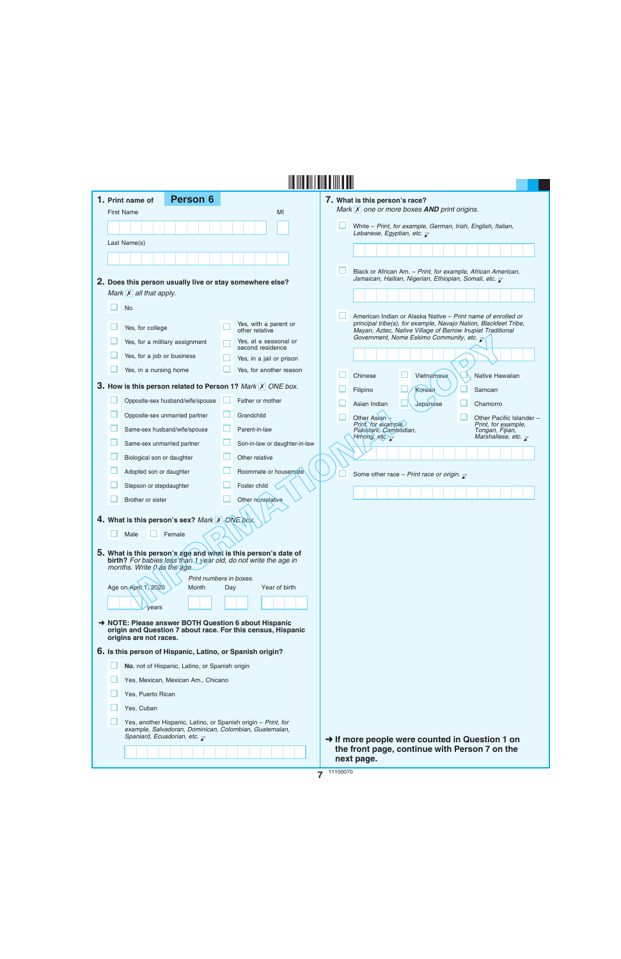|  | <b>Person 6</b><br>1. Print name of                                                                                                      |     |                                           |          | 7. What is this person's race?                                                                                                 |
|--|------------------------------------------------------------------------------------------------------------------------------------------|-----|-------------------------------------------|----------|--------------------------------------------------------------------------------------------------------------------------------|
|  | <b>First Name</b>                                                                                                                        |     | MI                                        |          | Mark X one or more boxes AND print origins.                                                                                    |
|  |                                                                                                                                          |     |                                           |          | White - Print, for example, German, Irish, English, Italian,<br>Lebanese, Egyptian, etc. $\overline{\mathcal{L}}$              |
|  | Last Name(s)                                                                                                                             |     |                                           |          |                                                                                                                                |
|  |                                                                                                                                          |     |                                           |          |                                                                                                                                |
|  |                                                                                                                                          |     |                                           |          | Black or African Am. - Print, for example, African American,                                                                   |
|  | 2. Does this person usually live or stay somewhere else?                                                                                 |     |                                           |          | Jamaican, Haitian, Nigerian, Ethiopian, Somali, etc. $\bar{\chi}$                                                              |
|  | Mark $\overline{X}$ all that apply.                                                                                                      |     |                                           |          |                                                                                                                                |
|  | <b>No</b>                                                                                                                                |     |                                           |          | American Indian or Alaska Native – Print name of enrolled or                                                                   |
|  | Yes, for college                                                                                                                         |     | Yes, with a parent or<br>other relative   |          | principal tribe(s), for example, Navajo Nation, Blackfeet Tribe,<br>Mayan, Aztec, Native Village of Barrow Inupiat Traditional |
|  | Yes, for a military assignment                                                                                                           |     | Yes, at a seasonal or<br>second residence |          | Government, Nome Eskimo Community, etc. $\overline{z}$                                                                         |
|  | Yes, for a job or business                                                                                                               |     | Yes, in a jail or prison                  |          |                                                                                                                                |
|  | Yes, in a nursing home                                                                                                                   |     | Yes, for another reason                   |          | Chinese<br>Vietnamese<br>Native Hawaiian                                                                                       |
|  | 3. How is this person related to Person 1? Mark X ONE box.                                                                               |     |                                           |          | Korean<br>Samoan<br>Filipino                                                                                                   |
|  | Opposite-sex husband/wife/spouse                                                                                                         |     | Father or mother                          |          | Asian Indian<br>Japanese<br>Chamorro                                                                                           |
|  | Opposite-sex unmarried partner                                                                                                           | ட   | Grandchild                                |          | Other Asian<br>Other Pacific Islander -                                                                                        |
|  | Same-sex husband/wife/spouse                                                                                                             |     | Parent-in-law                             |          | Print, for example.<br>Print, for example,<br>Pakistani, Cambodian,<br>Tongan, Fijian,                                         |
|  | Same-sex unmarried partner                                                                                                               |     | Son-in-law or daughter-in-law             |          | Hmong, etc<br>Marshallese, etc. $\overline{\mathcal{L}}$                                                                       |
|  | Biological son or daughter                                                                                                               |     | Other relative                            |          |                                                                                                                                |
|  | Adopted son or daughter                                                                                                                  |     | Roommate or housemate                     |          | Some other race - Print race or origin. $\mathbf{z}$                                                                           |
|  | Stepson or stepdaughter                                                                                                                  |     | Foster child                              |          |                                                                                                                                |
|  | Brother or sister                                                                                                                        |     | Other nonrelative                         |          |                                                                                                                                |
|  | 4. What is this person's sex? Mark X ONE box.                                                                                            |     |                                           |          |                                                                                                                                |
|  | Female<br>Male                                                                                                                           |     |                                           |          |                                                                                                                                |
|  |                                                                                                                                          |     |                                           |          |                                                                                                                                |
|  | 5. What is this person's age and what is this person's date of<br><b>birth?</b> For babies less than 1 year old, do not write the age in |     |                                           |          |                                                                                                                                |
|  | months. Write 0 as the age.                                                                                                              |     |                                           |          |                                                                                                                                |
|  | Print numbers in boxes.<br>Age on April 1, 2020<br>Month                                                                                 | Day | Year of birth                             |          |                                                                                                                                |
|  |                                                                                                                                          |     |                                           |          |                                                                                                                                |
|  | years                                                                                                                                    |     |                                           |          |                                                                                                                                |
|  | → NOTE: Please answer BOTH Question 6 about Hispanic<br>origin and Question 7 about race. For this census, Hispanic                      |     |                                           |          |                                                                                                                                |
|  | origins are not races.                                                                                                                   |     |                                           |          |                                                                                                                                |
|  | 6. Is this person of Hispanic, Latino, or Spanish origin?                                                                                |     |                                           |          |                                                                                                                                |
|  | No, not of Hispanic, Latino, or Spanish origin                                                                                           |     |                                           |          |                                                                                                                                |
|  | Yes, Mexican, Mexican Am., Chicano                                                                                                       |     |                                           |          |                                                                                                                                |
|  | Yes, Puerto Rican                                                                                                                        |     |                                           |          |                                                                                                                                |
|  | Yes, Cuban                                                                                                                               |     |                                           |          |                                                                                                                                |
|  | Yes, another Hispanic, Latino, or Spanish origin - Print, for<br>example, Salvadoran, Dominican, Colombian, Guatemalan,                  |     |                                           |          |                                                                                                                                |
|  | Spaniard, Ecuadorian, etc. $\overline{\mathcal{L}}$                                                                                      |     |                                           |          | $\rightarrow$ If more people were counted in Question 1 on<br>the front page, continue with Person 7 on the                    |
|  |                                                                                                                                          |     |                                           |          | next page.                                                                                                                     |
|  |                                                                                                                                          |     |                                           | 11100070 |                                                                                                                                |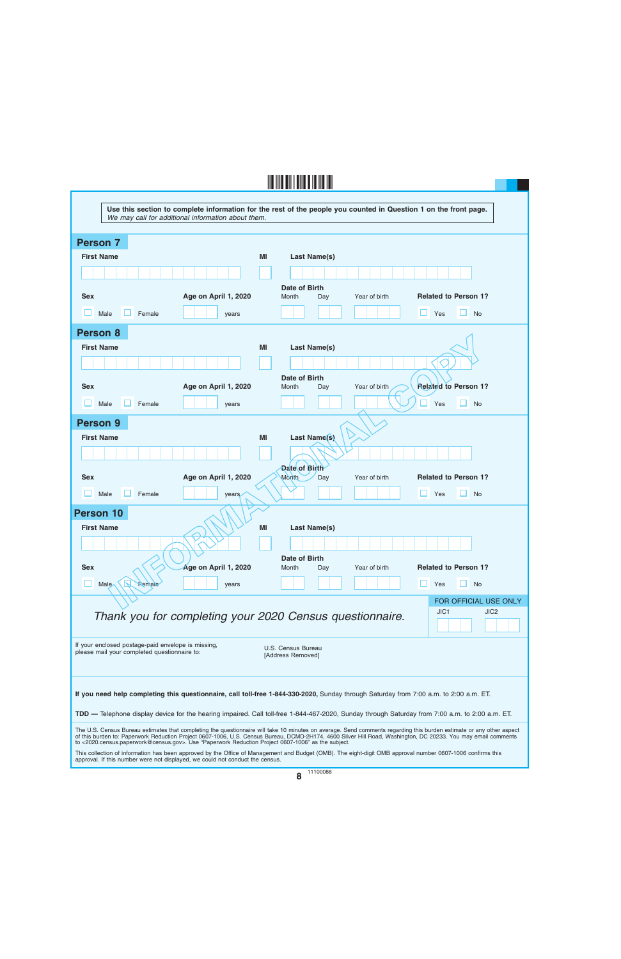| Use this section to complete information for the rest of the people you counted in Question 1 on the front page.<br>We may call for additional information about them.                                                                                                                    |                                                                                                                                                                                                                                                                                                                                       |  |  |  |  |  |  |
|-------------------------------------------------------------------------------------------------------------------------------------------------------------------------------------------------------------------------------------------------------------------------------------------|---------------------------------------------------------------------------------------------------------------------------------------------------------------------------------------------------------------------------------------------------------------------------------------------------------------------------------------|--|--|--|--|--|--|
| <b>Person 7</b>                                                                                                                                                                                                                                                                           |                                                                                                                                                                                                                                                                                                                                       |  |  |  |  |  |  |
| <b>First Name</b>                                                                                                                                                                                                                                                                         | MI<br>Last Name(s)                                                                                                                                                                                                                                                                                                                    |  |  |  |  |  |  |
|                                                                                                                                                                                                                                                                                           |                                                                                                                                                                                                                                                                                                                                       |  |  |  |  |  |  |
| <b>Sex</b><br>Age on April 1, 2020                                                                                                                                                                                                                                                        | Date of Birth<br><b>Related to Person 1?</b><br>Month<br>Year of birth<br>Day                                                                                                                                                                                                                                                         |  |  |  |  |  |  |
| Male<br>Female<br>years                                                                                                                                                                                                                                                                   | Yes<br>H<br><b>No</b>                                                                                                                                                                                                                                                                                                                 |  |  |  |  |  |  |
| Person 8                                                                                                                                                                                                                                                                                  |                                                                                                                                                                                                                                                                                                                                       |  |  |  |  |  |  |
| <b>First Name</b>                                                                                                                                                                                                                                                                         | MI<br>Last Name(s)                                                                                                                                                                                                                                                                                                                    |  |  |  |  |  |  |
|                                                                                                                                                                                                                                                                                           |                                                                                                                                                                                                                                                                                                                                       |  |  |  |  |  |  |
|                                                                                                                                                                                                                                                                                           | Date of Birth                                                                                                                                                                                                                                                                                                                         |  |  |  |  |  |  |
| <b>Sex</b><br>Age on April 1, 2020                                                                                                                                                                                                                                                        | <b>Related to Person 1?</b><br>Month<br>Year of birth<br>Day                                                                                                                                                                                                                                                                          |  |  |  |  |  |  |
| Male<br>Female<br>years                                                                                                                                                                                                                                                                   | <b>No</b><br>Yes                                                                                                                                                                                                                                                                                                                      |  |  |  |  |  |  |
| <b>Person 9</b>                                                                                                                                                                                                                                                                           |                                                                                                                                                                                                                                                                                                                                       |  |  |  |  |  |  |
| <b>First Name</b>                                                                                                                                                                                                                                                                         | Last Name(s)<br>MI                                                                                                                                                                                                                                                                                                                    |  |  |  |  |  |  |
|                                                                                                                                                                                                                                                                                           | Date of Birth                                                                                                                                                                                                                                                                                                                         |  |  |  |  |  |  |
| <b>Sex</b><br>Age on April 1, 2020                                                                                                                                                                                                                                                        | <b>Related to Person 1?</b><br>Month<br>Year of birth<br>Day                                                                                                                                                                                                                                                                          |  |  |  |  |  |  |
| Male<br>Female<br>years.                                                                                                                                                                                                                                                                  | <b>No</b><br>Yes                                                                                                                                                                                                                                                                                                                      |  |  |  |  |  |  |
| <b>Person 10</b><br><b>First Name</b>                                                                                                                                                                                                                                                     | <b>Last Name(s)</b><br>MI                                                                                                                                                                                                                                                                                                             |  |  |  |  |  |  |
|                                                                                                                                                                                                                                                                                           |                                                                                                                                                                                                                                                                                                                                       |  |  |  |  |  |  |
| <b>Sex</b><br>Age on April 1, 2020                                                                                                                                                                                                                                                        | Date of Birth<br><b>Related to Person 1?</b><br>Year of birth<br>Month<br>Day                                                                                                                                                                                                                                                         |  |  |  |  |  |  |
| u<br>Male<br>Female<br>years                                                                                                                                                                                                                                                              | <b>No</b><br>Yes                                                                                                                                                                                                                                                                                                                      |  |  |  |  |  |  |
| FOR OFFICIAL USE ONLY<br>JIC <sub>1</sub><br>JIC <sub>2</sub><br>Thank you for completing your 2020 Census questionnaire.                                                                                                                                                                 |                                                                                                                                                                                                                                                                                                                                       |  |  |  |  |  |  |
| If your enclosed postage-paid envelope is missing,<br>please mail your completed questionnaire to:                                                                                                                                                                                        | U.S. Census Bureau<br>[Address Removed]                                                                                                                                                                                                                                                                                               |  |  |  |  |  |  |
| If you need help completing this questionnaire, call toll-free 1-844-330-2020, Sunday through Saturday from 7:00 a.m. to 2:00 a.m. ET.<br>TDD — Telephone display device for the hearing impaired. Call toll-free 1-844-467-2020, Sunday through Saturday from 7:00 a.m. to 2:00 a.m. ET. |                                                                                                                                                                                                                                                                                                                                       |  |  |  |  |  |  |
|                                                                                                                                                                                                                                                                                           |                                                                                                                                                                                                                                                                                                                                       |  |  |  |  |  |  |
| to <2020.census.paperwork@census.gov>. Use "Paperwork Reduction Project 0607-1006" as the subject.                                                                                                                                                                                        | The U.S. Census Bureau estimates that completing the questionnaire will take 10 minutes on average. Send comments regarding this burden estimate or any other aspect<br>of this burden to: Paperwork Reduction Project 0607-1006, U.S. Census Bureau, DCMD-2H174, 4600 Silver Hill Road, Washington, DC 20233. You may email comments |  |  |  |  |  |  |
| approval. If this number were not displayed, we could not conduct the census.                                                                                                                                                                                                             | This collection of information has been approved by the Office of Management and Budget (OMB). The eight-digit OMB approval number 0607-1006 confirms this                                                                                                                                                                            |  |  |  |  |  |  |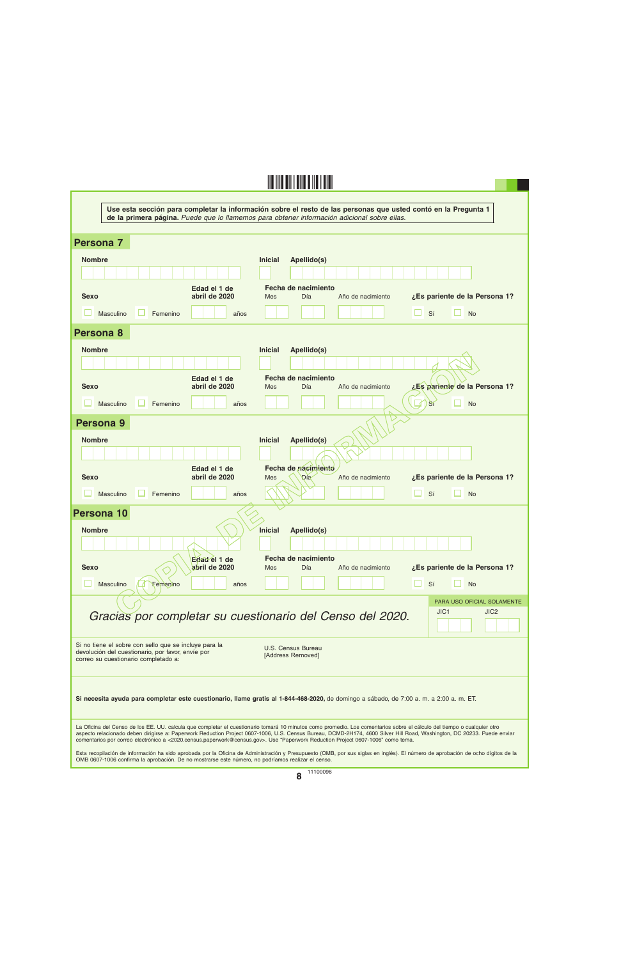| Use esta sección para completar la información sobre el resto de las personas que usted contó en la Pregunta 1                                     |                                                                                                                                                                                                                                                                                                                                                    |  |  |  |  |  |  |
|----------------------------------------------------------------------------------------------------------------------------------------------------|----------------------------------------------------------------------------------------------------------------------------------------------------------------------------------------------------------------------------------------------------------------------------------------------------------------------------------------------------|--|--|--|--|--|--|
|                                                                                                                                                    | de la primera página. Puede que lo llamemos para obtener información adicional sobre ellas.                                                                                                                                                                                                                                                        |  |  |  |  |  |  |
| Persona 7                                                                                                                                          |                                                                                                                                                                                                                                                                                                                                                    |  |  |  |  |  |  |
| <b>Nombre</b>                                                                                                                                      | <b>Inicial</b><br>Apellido(s)                                                                                                                                                                                                                                                                                                                      |  |  |  |  |  |  |
|                                                                                                                                                    |                                                                                                                                                                                                                                                                                                                                                    |  |  |  |  |  |  |
| Edad el 1 de<br><b>Sexo</b><br>abril de 2020                                                                                                       | Fecha de nacimiento<br>¿Es pariente de la Persona 1?<br>Día<br>Mes<br>Año de nacimiento                                                                                                                                                                                                                                                            |  |  |  |  |  |  |
| Masculino<br>Femenino<br>años                                                                                                                      | Sí<br>H<br><b>No</b>                                                                                                                                                                                                                                                                                                                               |  |  |  |  |  |  |
| Persona 8                                                                                                                                          |                                                                                                                                                                                                                                                                                                                                                    |  |  |  |  |  |  |
| <b>Nombre</b>                                                                                                                                      | Apellido(s)<br><b>Inicial</b>                                                                                                                                                                                                                                                                                                                      |  |  |  |  |  |  |
|                                                                                                                                                    |                                                                                                                                                                                                                                                                                                                                                    |  |  |  |  |  |  |
| Edad el 1 de<br><b>Sexo</b><br>abril de 2020                                                                                                       | Fecha de nacimiento<br>¿Es pariente de la Persona 1?<br>Día<br>Año de nacimiento<br>Mes                                                                                                                                                                                                                                                            |  |  |  |  |  |  |
| Masculino<br>Femenino<br>años                                                                                                                      | <b>No</b><br>Si                                                                                                                                                                                                                                                                                                                                    |  |  |  |  |  |  |
| Persona <sub>9</sub>                                                                                                                               |                                                                                                                                                                                                                                                                                                                                                    |  |  |  |  |  |  |
| <b>Nombre</b>                                                                                                                                      | Apellido(s)<br><b>Inicial</b>                                                                                                                                                                                                                                                                                                                      |  |  |  |  |  |  |
|                                                                                                                                                    |                                                                                                                                                                                                                                                                                                                                                    |  |  |  |  |  |  |
| Edad el 1 de<br>abril de 2020<br><b>Sexo</b>                                                                                                       | Fecha de nacimiento<br>Año de nacimiento<br>¿Es pariente de la Persona 1?<br>Mes<br>Día                                                                                                                                                                                                                                                            |  |  |  |  |  |  |
| Masculino<br>Femenino<br>años                                                                                                                      | Sí<br>H<br><b>No</b>                                                                                                                                                                                                                                                                                                                               |  |  |  |  |  |  |
| <b>Persona 10</b>                                                                                                                                  |                                                                                                                                                                                                                                                                                                                                                    |  |  |  |  |  |  |
| <b>Nombre</b>                                                                                                                                      | Apellido(s)<br><b>Inicial</b>                                                                                                                                                                                                                                                                                                                      |  |  |  |  |  |  |
|                                                                                                                                                    |                                                                                                                                                                                                                                                                                                                                                    |  |  |  |  |  |  |
| Edad el 1 de<br>abril de 2020<br><b>Sexo</b>                                                                                                       | Fecha de nacimiento<br>¿Es pariente de la Persona 1?<br>Día<br><b>Mes</b><br>Año de nacimiento                                                                                                                                                                                                                                                     |  |  |  |  |  |  |
| Masculino<br>Femenino<br>años                                                                                                                      | Sí<br><b>No</b>                                                                                                                                                                                                                                                                                                                                    |  |  |  |  |  |  |
|                                                                                                                                                    | PARA USO OFICIAL SOLAMENTE                                                                                                                                                                                                                                                                                                                         |  |  |  |  |  |  |
| Gracias por completar su cuestionario del Censo del 2020.                                                                                          | JIC1<br>JIC <sub>2</sub>                                                                                                                                                                                                                                                                                                                           |  |  |  |  |  |  |
| Si no tiene el sobre con sello que se incluye para la<br>devolución del cuestionario, por favor, envíe por<br>correo su cuestionario completado a: | U.S. Census Bureau<br>[Address Removed]                                                                                                                                                                                                                                                                                                            |  |  |  |  |  |  |
|                                                                                                                                                    |                                                                                                                                                                                                                                                                                                                                                    |  |  |  |  |  |  |
| Si necesita ayuda para completar este cuestionario, llame gratis al 1-844-468-2020, de domingo a sábado, de 7:00 a. m. a 2:00 a. m. ET.            |                                                                                                                                                                                                                                                                                                                                                    |  |  |  |  |  |  |
| comentarios por correo electrónico a <2020.census.paperwork@census.gov>. Use "Paperwork Reduction Project 0607-1006" como tema.                    | La Oficina del Censo de los EE. UU. calcula que completar el cuestionario tomará 10 minutos como promedio. Los comentarios sobre el cálculo del tiempo o cualquier otro<br>aspecto relacionado deben dirigirse a: Paperwork Reduction Project 0607-1006, U.S. Census Bureau, DCMD-2H174, 4600 Silver Hill Road, Washington, DC 20233. Puede enviar |  |  |  |  |  |  |
| OMB 0607-1006 confirma la aprobación. De no mostrarse este número, no podríamos realizar el censo.                                                 | Esta recopilación de información ha sido aprobada por la Oficina de Administración y Presupuesto (OMB, por sus siglas en inglés). El número de aprobación de ocho dígitos de la                                                                                                                                                                    |  |  |  |  |  |  |
|                                                                                                                                                    | 11100096<br>$\bullet$                                                                                                                                                                                                                                                                                                                              |  |  |  |  |  |  |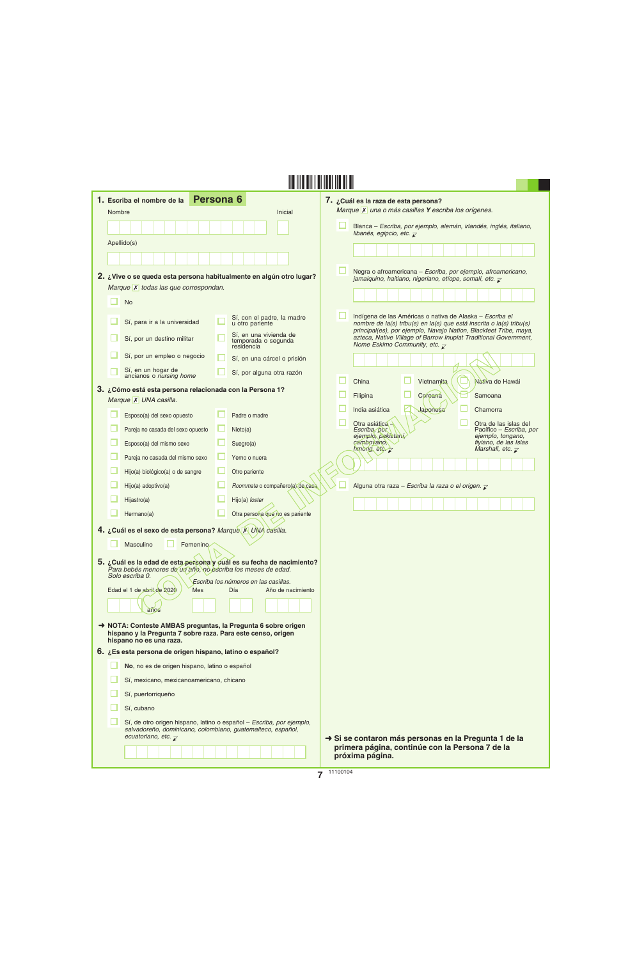| 1. Escriba el nombre de la                                                                                                           | Persona <sub>6</sub>                                                                                                                | 7. ¿Cuál es la raza de esta persona?                                                                                                                                                                  |
|--------------------------------------------------------------------------------------------------------------------------------------|-------------------------------------------------------------------------------------------------------------------------------------|-------------------------------------------------------------------------------------------------------------------------------------------------------------------------------------------------------|
| Nombre                                                                                                                               | <b>Inicial</b>                                                                                                                      | Marque X una o más casillas Y escriba los orígenes.                                                                                                                                                   |
|                                                                                                                                      |                                                                                                                                     | Blanca – Escriba, por ejemplo, alemán, irlandés, inglés, italiano,<br>libanés, egipcio, etc. $\overline{\mathcal{L}}$                                                                                 |
| Apellido(s)                                                                                                                          |                                                                                                                                     |                                                                                                                                                                                                       |
|                                                                                                                                      |                                                                                                                                     |                                                                                                                                                                                                       |
| 2. ¿Vive o se queda esta persona habitualmente en algún otro lugar?                                                                  |                                                                                                                                     | Negra o afroamericana - Escriba, por ejemplo, afroamericano,<br>jamaiquino, haitiano, nigeriano, etíope, somalí, etc. $\bar{z}$                                                                       |
| Marque X todas las que correspondan.                                                                                                 |                                                                                                                                     |                                                                                                                                                                                                       |
| <b>No</b>                                                                                                                            |                                                                                                                                     |                                                                                                                                                                                                       |
| Sí, para ir a la universidad                                                                                                         | Sí, con el padre, la madre<br>u otro pariente                                                                                       | Indígena de las Américas o nativa de Alaska - Escriba el<br>nombre de la(s) tribu(s) en la(s) que está inscrita o la(s) tribu(s)<br>principal(es), por ejemplo, Navajo Nation, Blackfeet Tribe, maya, |
| Sí, por un destino militar                                                                                                           | Sí, en una vivienda de<br>temporada o segunda<br>residencia                                                                         | azteca, Native Village of Barrow Inupiat Traditional Government,<br>Nome Eskimo Community, etc. $\overline{\mathcal{L}}$                                                                              |
| Sí, por un empleo o negocio                                                                                                          | Sí, en una cárcel o prisión                                                                                                         |                                                                                                                                                                                                       |
| Sí, en un hogar de<br>ancianos o nursing home                                                                                        | Sí, por alguna otra razón                                                                                                           | China<br>Vietnamita<br>Nativa de Hawái                                                                                                                                                                |
| 3. ¿Cómo está esta persona relacionada con la Persona 1?                                                                             |                                                                                                                                     | Coreana<br>Filipina<br>Samoana                                                                                                                                                                        |
| Marque X UNA casilla.                                                                                                                |                                                                                                                                     | India asiática<br>Japonesa<br>Chamorra                                                                                                                                                                |
| Esposo(a) del sexo opuesto                                                                                                           | Padre o madre                                                                                                                       | Otra asiática -<br>Otra de las islas del                                                                                                                                                              |
| Pareja no casada del sexo opuesto                                                                                                    | Nieto(a)                                                                                                                            | Pacífico - Escriba, por<br>Escriba, por<br>ejemplo, pakistaní,<br>ejemplo, tongano,                                                                                                                   |
| Esposo(a) del mismo sexo                                                                                                             | Suegro(a)                                                                                                                           | fiyiano, de las Islas<br>cambovano,<br>hmong, etc. $\overline{\mathcal{C}}$<br>Marshall, etc. $\overline{\mathcal{L}}$                                                                                |
| Pareja no casada del mismo sexo                                                                                                      | Yerno o nuera                                                                                                                       |                                                                                                                                                                                                       |
| Hijo(a) biológico(a) o de sangre                                                                                                     | Otro pariente                                                                                                                       |                                                                                                                                                                                                       |
| Hijo(a) adoptivo(a)                                                                                                                  | Roommate o compañero(a) de casa                                                                                                     | Alguna otra raza - Escriba la raza o el origen. $\bar{z}$                                                                                                                                             |
| Hijastro(a)                                                                                                                          | Hijo(a) foster                                                                                                                      |                                                                                                                                                                                                       |
| Hermano(a)                                                                                                                           | Otra persona que no es pariente                                                                                                     |                                                                                                                                                                                                       |
| 4. ¿Cuál es el sexo de esta persona? Marque X UNA casilla.                                                                           |                                                                                                                                     |                                                                                                                                                                                                       |
| Masculino<br>Femenino                                                                                                                |                                                                                                                                     |                                                                                                                                                                                                       |
| 5. ¿Cuál es la edad de esta persona y cuál es su fecha de nacimiento?<br>Para bebés menores de un año, no escriba los meses de edad. |                                                                                                                                     |                                                                                                                                                                                                       |
| Solo escriba 0.                                                                                                                      | Escriba los números en las casillas.                                                                                                |                                                                                                                                                                                                       |
| Edad el 1 de abril de 2020<br>Mes                                                                                                    | Día<br>Año de nacimiento                                                                                                            |                                                                                                                                                                                                       |
| años                                                                                                                                 |                                                                                                                                     |                                                                                                                                                                                                       |
| → NOTA: Conteste AMBAS preguntas, la Pregunta 6 sobre origen<br>hispano y la Pregunta 7 sobre raza. Para este censo, origen          |                                                                                                                                     |                                                                                                                                                                                                       |
| hispano no es una raza.<br>6. ¿Es esta persona de origen hispano, latino o español?                                                  |                                                                                                                                     |                                                                                                                                                                                                       |
| No, no es de origen hispano, latino o español                                                                                        |                                                                                                                                     |                                                                                                                                                                                                       |
| Sí, mexicano, mexicanoamericano, chicano                                                                                             |                                                                                                                                     |                                                                                                                                                                                                       |
| Sí, puertorriqueño                                                                                                                   |                                                                                                                                     |                                                                                                                                                                                                       |
| Sí, cubano                                                                                                                           |                                                                                                                                     |                                                                                                                                                                                                       |
|                                                                                                                                      |                                                                                                                                     |                                                                                                                                                                                                       |
| ecuatoriano, etc. $\overline{\mathcal{X}}$                                                                                           | Sí, de otro origen hispano, latino o español - Escriba, por ejemplo,<br>salvadoreño, dominicano, colombiano, guatemalteco, español, | Si se contaron más personas en la Pregunta 1 de la                                                                                                                                                    |
|                                                                                                                                      |                                                                                                                                     | primera página, continúe con la Persona 7 de la<br>próxima página.                                                                                                                                    |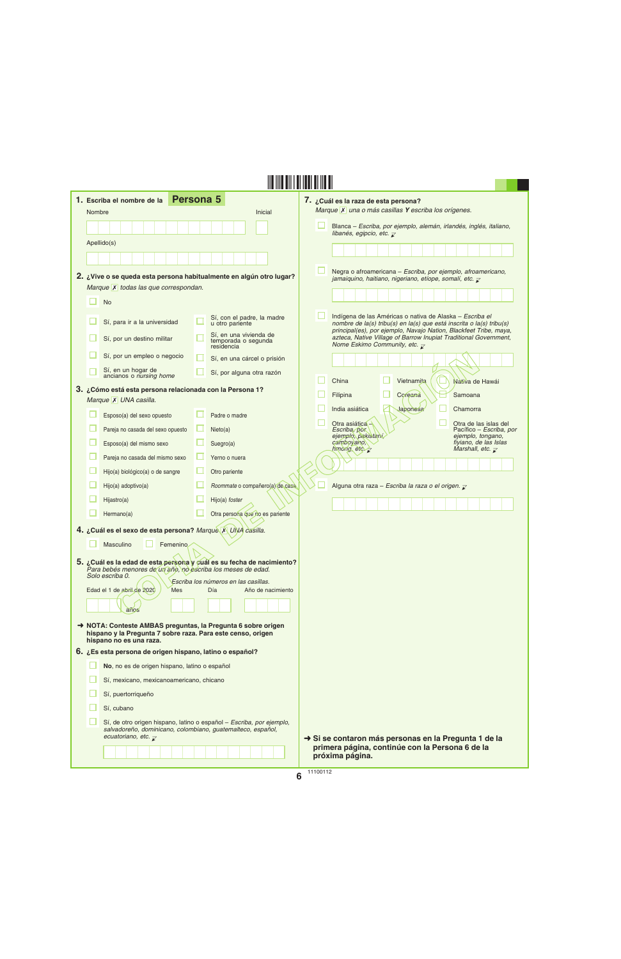| Nombre | <b>Persona 5</b><br>1. Escriba el nombre de la                                                                                                                     |   | Inicial                                                          | 7. ¿Cuál es la raza de esta persona?<br>Marque X una o más casillas Y escriba los orígenes.                                                                                                           |                                                                                       |
|--------|--------------------------------------------------------------------------------------------------------------------------------------------------------------------|---|------------------------------------------------------------------|-------------------------------------------------------------------------------------------------------------------------------------------------------------------------------------------------------|---------------------------------------------------------------------------------------|
|        |                                                                                                                                                                    |   |                                                                  | Blanca - Escriba, por ejemplo, alemán, irlandés, inglés, italiano,                                                                                                                                    |                                                                                       |
|        | Apellido(s)                                                                                                                                                        |   |                                                                  | libanés, egipcio, etc. $\overline{\mathcal{L}}$                                                                                                                                                       |                                                                                       |
|        |                                                                                                                                                                    |   |                                                                  |                                                                                                                                                                                                       |                                                                                       |
|        | 2. ¿Vive o se queda esta persona habitualmente en algún otro lugar?                                                                                                |   |                                                                  | Negra o afroamericana - Escriba, por ejemplo, afroamericano,<br>jamaiquino, haitiano, nigeriano, etíope, somalí, etc. $\overline{\mathcal{L}}$                                                        |                                                                                       |
|        | Marque X todas las que correspondan.                                                                                                                               |   |                                                                  |                                                                                                                                                                                                       |                                                                                       |
|        | <b>No</b>                                                                                                                                                          |   |                                                                  |                                                                                                                                                                                                       |                                                                                       |
|        | Sí, para ir a la universidad                                                                                                                                       |   | Sí, con el padre, la madre<br>u otro pariente                    | Indígena de las Américas o nativa de Alaska - Escriba el<br>nombre de la(s) tribu(s) en la(s) que está inscrita o la(s) tribu(s)<br>principal(es), por ejemplo, Navajo Nation, Blackfeet Tribe, maya, |                                                                                       |
|        | Sí, por un destino militar                                                                                                                                         |   | Sí, en una vivienda de<br>temporada o segunda<br>residencia      | azteca, Native Village of Barrow Inupiat Traditional Government,<br>Nome Eskimo Community, etc. $\overline{\mathcal{L}}$                                                                              |                                                                                       |
|        | Sí, por un empleo o negocio                                                                                                                                        |   | Sí, en una cárcel o prisión                                      |                                                                                                                                                                                                       |                                                                                       |
|        | Sí, en un hogar de<br>ancianos o nursing home                                                                                                                      |   | Sí, por alguna otra razón                                        | China<br>Vietnamita                                                                                                                                                                                   | Nativa de Hawái                                                                       |
|        | 3. ¿Cómo está esta persona relacionada con la Persona 1?<br>Marque X UNA casilla.                                                                                  |   |                                                                  | Filipina<br>Coreana                                                                                                                                                                                   | Samoana                                                                               |
|        | Esposo(a) del sexo opuesto                                                                                                                                         |   | Padre o madre                                                    | India asiática<br>Japonesa                                                                                                                                                                            | Chamorra                                                                              |
|        | Pareja no casada del sexo opuesto                                                                                                                                  | ∟ | Nieto(a)                                                         | Otra asiática -<br>Escriba, por                                                                                                                                                                       | Otra de las islas del<br>Pacífico - Escriba, por                                      |
|        | Esposo(a) del mismo sexo                                                                                                                                           |   | Suegro(a)                                                        | ejemplo, pakistaní,<br>camboyano,                                                                                                                                                                     | ejemplo, tongano,<br>fiyiano, de las Islas<br>Marshall, etc. $\overline{\mathcal{X}}$ |
|        | Pareja no casada del mismo sexo                                                                                                                                    |   | Yerno o nuera                                                    | hmong, etc. $\overline{\mathcal{C}}$                                                                                                                                                                  |                                                                                       |
|        | Hijo(a) biológico(a) o de sangre                                                                                                                                   |   | Otro pariente                                                    |                                                                                                                                                                                                       |                                                                                       |
|        | Hijo(a) adoptivo(a)                                                                                                                                                |   | Roommate o compañero(a) de casa                                  | Alguna otra raza - Escriba la raza o el origen. $\bar{z}$                                                                                                                                             |                                                                                       |
|        | Hijastro(a)                                                                                                                                                        |   | Hijo(a) foster                                                   |                                                                                                                                                                                                       |                                                                                       |
|        | Hermano(a)                                                                                                                                                         |   | Otra persona que no es pariente                                  |                                                                                                                                                                                                       |                                                                                       |
|        | 4. ¿Cuál es el sexo de esta persona? Marque X UNA casilla.                                                                                                         |   |                                                                  |                                                                                                                                                                                                       |                                                                                       |
|        | Masculino<br>Femenino                                                                                                                                              |   |                                                                  |                                                                                                                                                                                                       |                                                                                       |
|        | 5. ¿Cuál es la edad de esta persona y cuál es su fecha de nacimiento?<br>Para bebés menores de un año, no escriba los meses de edad.<br>Solo escriba 0.            |   |                                                                  |                                                                                                                                                                                                       |                                                                                       |
|        | Edad el 1 de abril de 2020<br><b>Mes</b>                                                                                                                           |   | Escriba los números en las casillas.<br>Día<br>Año de nacimiento |                                                                                                                                                                                                       |                                                                                       |
|        | anos                                                                                                                                                               |   |                                                                  |                                                                                                                                                                                                       |                                                                                       |
|        | → NOTA: Conteste AMBAS preguntas, la Pregunta 6 sobre origen<br>hispano y la Pregunta 7 sobre raza. Para este censo, origen<br>hispano no es una raza.             |   |                                                                  |                                                                                                                                                                                                       |                                                                                       |
|        | 6. ¿Es esta persona de origen hispano, latino o español?                                                                                                           |   |                                                                  |                                                                                                                                                                                                       |                                                                                       |
|        | No, no es de origen hispano, latino o español                                                                                                                      |   |                                                                  |                                                                                                                                                                                                       |                                                                                       |
|        | Sí, mexicano, mexicanoamericano, chicano                                                                                                                           |   |                                                                  |                                                                                                                                                                                                       |                                                                                       |
|        | Sí, puertorriqueño                                                                                                                                                 |   |                                                                  |                                                                                                                                                                                                       |                                                                                       |
|        | Sí, cubano                                                                                                                                                         |   |                                                                  |                                                                                                                                                                                                       |                                                                                       |
|        | Sí, de otro origen hispano, latino o español - Escriba, por ejemplo,<br>salvadoreño, dominicano, colombiano, guatemalteco, español,<br>ecuatoriano, etc. $\bar{x}$ |   |                                                                  | Si se contaron más personas en la Pregunta 1 de la                                                                                                                                                    |                                                                                       |
|        |                                                                                                                                                                    |   |                                                                  | primera página, continúe con la Persona 6 de la<br>próxima página.                                                                                                                                    |                                                                                       |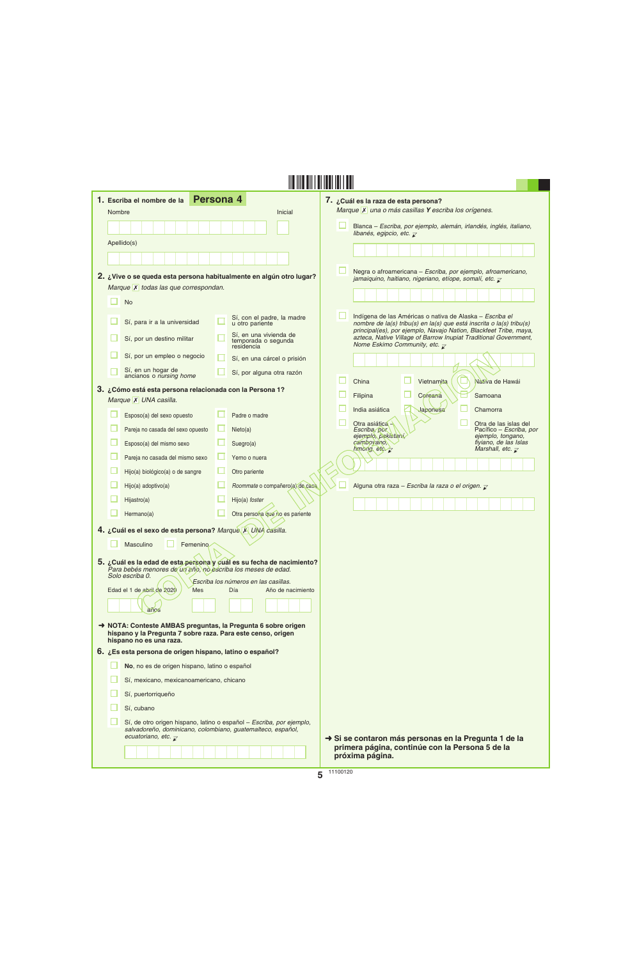| 1. Escriba el nombre de la                                                                                                | Persona 4                                                                                                                           | 7. ¿Cuál es la raza de esta persona?                                                                                                                                                                  |
|---------------------------------------------------------------------------------------------------------------------------|-------------------------------------------------------------------------------------------------------------------------------------|-------------------------------------------------------------------------------------------------------------------------------------------------------------------------------------------------------|
| Nombre                                                                                                                    | Inicial                                                                                                                             | Marque X una o más casillas Y escriba los orígenes.                                                                                                                                                   |
|                                                                                                                           |                                                                                                                                     | Blanca – Escriba, por ejemplo, alemán, irlandés, inglés, italiano,<br>libanés, egipcio, etc. $\overline{\mathcal{L}}$                                                                                 |
| Apellido(s)                                                                                                               |                                                                                                                                     |                                                                                                                                                                                                       |
|                                                                                                                           |                                                                                                                                     |                                                                                                                                                                                                       |
| 2. ¿Vive o se queda esta persona habitualmente en algún otro lugar?                                                       |                                                                                                                                     | Negra o afroamericana - Escriba, por ejemplo, afroamericano,<br>jamaiquino, haitiano, nigeriano, etíope, somalí, etc. $\overline{\mathcal{L}}$                                                        |
| Marque X todas las que correspondan.                                                                                      |                                                                                                                                     |                                                                                                                                                                                                       |
| <b>No</b>                                                                                                                 |                                                                                                                                     |                                                                                                                                                                                                       |
| Sí, para ir a la universidad                                                                                              | Sí, con el padre, la madre<br>u otro pariente                                                                                       | Indígena de las Américas o nativa de Alaska - Escriba el<br>nombre de la(s) tribu(s) en la(s) que está inscrita o la(s) tribu(s)<br>principal(es), por ejemplo, Navajo Nation, Blackfeet Tribe, maya, |
| Sí, por un destino militar                                                                                                | Sí, en una vivienda de<br>temporada o segunda<br>residencia                                                                         | azteca, Native Village of Barrow Inupiat Traditional Government,<br>Nome Eskimo Community, etc. $\overline{\mathcal{L}}$                                                                              |
| Sí, por un empleo o negocio                                                                                               | Sí, en una cárcel o prisión                                                                                                         |                                                                                                                                                                                                       |
| Sí, en un hogar de<br>ancianos o nursing home                                                                             | Sí, por alguna otra razón                                                                                                           | China<br>Vietnamita<br>Nativa de Hawái                                                                                                                                                                |
| 3. ¿Cómo está esta persona relacionada con la Persona 1?                                                                  |                                                                                                                                     | Coreana<br>Filipina<br>Samoana                                                                                                                                                                        |
| Marque X UNA casilla.<br>Esposo(a) del sexo opuesto                                                                       | Padre o madre                                                                                                                       | India asiática<br>Japonesa<br>Chamorra                                                                                                                                                                |
| Pareja no casada del sexo opuesto                                                                                         | Nieto(a)                                                                                                                            | Otra asiática -<br>Otra de las islas del<br>Pacífico - Escriba, por<br>Escriba, por                                                                                                                   |
| Esposo(a) del mismo sexo                                                                                                  | Suegro(a)                                                                                                                           | ejemplo, pakistaní,<br>ejemplo, tongano,<br>fiyiano, de las Islas<br>cambovano,<br>hmong, etc. $\overline{z}$<br>Marshall, etc. $\overline{\mathcal{L}}$                                              |
| Pareja no casada del mismo sexo                                                                                           | Yerno o nuera                                                                                                                       |                                                                                                                                                                                                       |
| Hijo(a) biológico(a) o de sangre                                                                                          | Otro pariente                                                                                                                       |                                                                                                                                                                                                       |
| Hijo(a) adoptivo(a)                                                                                                       | Roommate o compañero(a) de casa                                                                                                     | Alguna otra raza - Escriba la raza o el origen. $\bar{z}$                                                                                                                                             |
| Hijastro(a)                                                                                                               | Hijo(a) foster                                                                                                                      |                                                                                                                                                                                                       |
| Hermano(a)                                                                                                                | Otra persona que no es pariente                                                                                                     |                                                                                                                                                                                                       |
| 4. ¿Cuál es el sexo de esta persona? Marquè X UNA casilla.                                                                |                                                                                                                                     |                                                                                                                                                                                                       |
| Masculino<br>Femenino                                                                                                     |                                                                                                                                     |                                                                                                                                                                                                       |
| 5. ¿Cuál es la edad de esta persona y cuál es su fecha de nacimiento?                                                     |                                                                                                                                     |                                                                                                                                                                                                       |
| Para bebés menores de un año, no escriba los meses de edad.<br>Solo escriba 0.                                            | Escriba los números en las casillas.                                                                                                |                                                                                                                                                                                                       |
| Edad el 1 de abril de 2020<br><b>Mes</b>                                                                                  | Día<br>Año de nacimiento                                                                                                            |                                                                                                                                                                                                       |
| años                                                                                                                      |                                                                                                                                     |                                                                                                                                                                                                       |
| NOTA: Conteste AMBAS preguntas, la Pregunta 6 sobre origen<br>hispano y la Pregunta 7 sobre raza. Para este censo, origen |                                                                                                                                     |                                                                                                                                                                                                       |
| hispano no es una raza.<br>6. ¿Es esta persona de origen hispano, latino o español?                                       |                                                                                                                                     |                                                                                                                                                                                                       |
| No, no es de origen hispano, latino o español                                                                             |                                                                                                                                     |                                                                                                                                                                                                       |
| Sí, mexicano, mexicanoamericano, chicano                                                                                  |                                                                                                                                     |                                                                                                                                                                                                       |
| Sí, puertorriqueño                                                                                                        |                                                                                                                                     |                                                                                                                                                                                                       |
| Sí, cubano                                                                                                                |                                                                                                                                     |                                                                                                                                                                                                       |
|                                                                                                                           | Sí, de otro origen hispano, latino o español - Escriba, por ejemplo,<br>salvadoreño, dominicano, colombiano, guatemalteco, español, |                                                                                                                                                                                                       |
| ecuatoriano, etc. $\overline{\mathcal{X}}$                                                                                |                                                                                                                                     | → Si se contaron más personas en la Pregunta 1 de la<br>primera página, continúe con la Persona 5 de la                                                                                               |
|                                                                                                                           |                                                                                                                                     | próxima página.                                                                                                                                                                                       |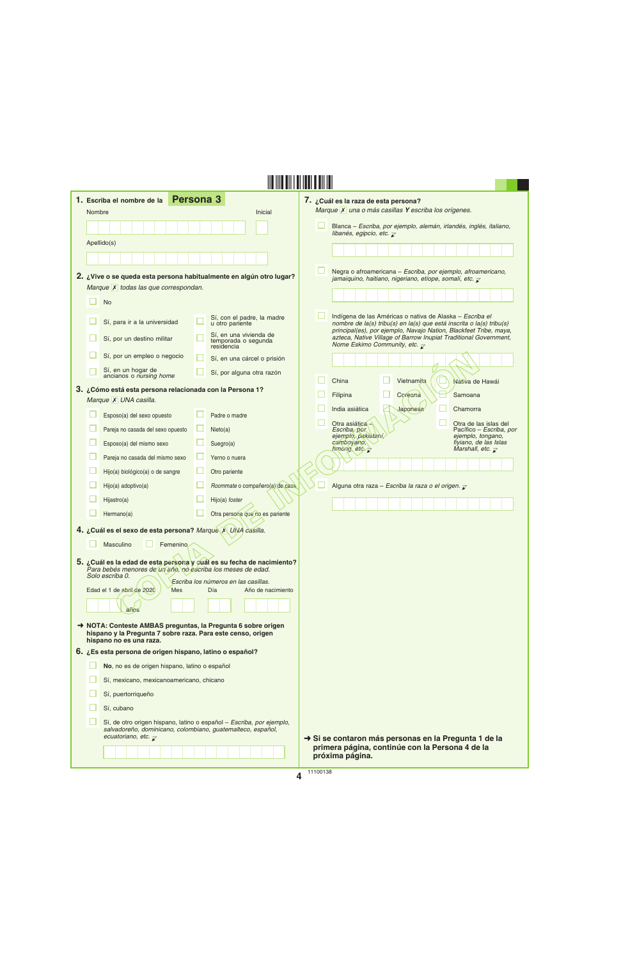|        | 1. Escriba el nombre de la                                                                                                                                         | <b>Persona 3</b>                                            |                   | 7. ¿Cuál es la raza de esta persona?                                                                                                                                                          |                                                                  |
|--------|--------------------------------------------------------------------------------------------------------------------------------------------------------------------|-------------------------------------------------------------|-------------------|-----------------------------------------------------------------------------------------------------------------------------------------------------------------------------------------------|------------------------------------------------------------------|
| Nombre |                                                                                                                                                                    |                                                             | Inicial           | Marque X una o más casillas Y escriba los orígenes.                                                                                                                                           |                                                                  |
|        |                                                                                                                                                                    |                                                             |                   | Blanca - Escriba, por ejemplo, alemán, irlandés, inglés, italiano,<br>libanés, egipcio, etc. $\overline{\mathcal{L}}$                                                                         |                                                                  |
|        | Apellido(s)                                                                                                                                                        |                                                             |                   |                                                                                                                                                                                               |                                                                  |
|        |                                                                                                                                                                    |                                                             |                   |                                                                                                                                                                                               |                                                                  |
|        | 2. ¿Vive o se queda esta persona habitualmente en algún otro lugar?                                                                                                |                                                             |                   | Negra o afroamericana - Escriba, por ejemplo, afroamericano,<br>jamaiquino, haitiano, nigeriano, etíope, somalí, etc. $\overline{\mathcal{L}}$                                                |                                                                  |
|        | Marque X todas las que correspondan.                                                                                                                               |                                                             |                   |                                                                                                                                                                                               |                                                                  |
|        | <b>No</b>                                                                                                                                                          |                                                             |                   |                                                                                                                                                                                               |                                                                  |
|        | Sí, para ir a la universidad                                                                                                                                       | Sí, con el padre, la madre<br>u otro pariente               |                   | Indígena de las Américas o nativa de Alaska - Escriba el<br>nombre de la(s) tribu(s) en la(s) que está inscrita o la(s) tribu(s)                                                              |                                                                  |
|        | Sí, por un destino militar                                                                                                                                         | Sí, en una vivienda de<br>temporada o segunda<br>residencia |                   | principal(es), por ejemplo, Navajo Nation, Blackfeet Tribe, maya,<br>azteca, Native Village of Barrow Inupiat Traditional Government,<br>Nome Eskimo Community, etc. $\overline{\mathcal{L}}$ |                                                                  |
|        | Sí, por un empleo o negocio                                                                                                                                        | Sí, en una cárcel o prisión                                 |                   |                                                                                                                                                                                               |                                                                  |
|        | Sí, en un hogar de<br>ancianos o nursing home                                                                                                                      | Sí, por alguna otra razón                                   |                   | China<br>Vietnamita                                                                                                                                                                           | Nativa de Hawái                                                  |
|        | 3. ¿Cómo está esta persona relacionada con la Persona 1?                                                                                                           |                                                             |                   | Filipina<br>Coreana                                                                                                                                                                           | Samoana                                                          |
|        | Marque X UNA casilla.                                                                                                                                              |                                                             |                   | India asiática<br>Japonesa                                                                                                                                                                    | Chamorra                                                         |
|        | Esposo(a) del sexo opuesto                                                                                                                                         | Padre o madre                                               |                   | Otra asiática -                                                                                                                                                                               | Otra de las islas del                                            |
|        | Pareja no casada del sexo opuesto                                                                                                                                  | ∟<br>Nieto(a)                                               |                   | Escriba, por<br>ejemplo, pakistaní,                                                                                                                                                           | Pacífico - Escriba, por<br>ejemplo, tongano,                     |
|        | Esposo(a) del mismo sexo                                                                                                                                           | Suegro(a)                                                   |                   | camboyano,<br>hmong, etc. $\overline{\mathcal{C}}$                                                                                                                                            | fiyiano, de las Islas<br>Marshall, etc. $\overline{\mathcal{X}}$ |
|        | Pareja no casada del mismo sexo                                                                                                                                    | Yerno o nuera                                               |                   |                                                                                                                                                                                               |                                                                  |
|        | Hijo(a) biológico(a) o de sangre                                                                                                                                   | Otro pariente                                               |                   |                                                                                                                                                                                               |                                                                  |
|        | Hijo(a) adoptivo(a)                                                                                                                                                | Roommate o compañero(a) de casa                             |                   | Alguna otra raza - Escriba la raza o el origen. $\bar{z}$                                                                                                                                     |                                                                  |
|        | Hijastro(a)                                                                                                                                                        | Hijo(a) foster                                              |                   |                                                                                                                                                                                               |                                                                  |
|        | Hermano(a)                                                                                                                                                         | Otra persona que no es pariente                             |                   |                                                                                                                                                                                               |                                                                  |
|        | 4. ¿Cuál es el sexo de esta persona? Marque X UNA casilla.                                                                                                         |                                                             |                   |                                                                                                                                                                                               |                                                                  |
|        | Masculino<br>Femenino                                                                                                                                              |                                                             |                   |                                                                                                                                                                                               |                                                                  |
|        | 5. ¿Cuál es la edad de esta persona y cuál es su fecha de nacimiento?<br>Para bebés menores de un año, no escriba los meses de edad.<br>Solo escriba 0.            |                                                             |                   |                                                                                                                                                                                               |                                                                  |
|        | Edad el 1 de abril de 2020<br><b>Mes</b>                                                                                                                           | Escriba los números en las casillas.<br>Día                 | Año de nacimiento |                                                                                                                                                                                               |                                                                  |
|        | anos                                                                                                                                                               |                                                             |                   |                                                                                                                                                                                               |                                                                  |
|        | → NOTA: Conteste AMBAS preguntas, la Pregunta 6 sobre origen<br>hispano y la Pregunta 7 sobre raza. Para este censo, origen<br>hispano no es una raza.             |                                                             |                   |                                                                                                                                                                                               |                                                                  |
|        | 6. ¿Es esta persona de origen hispano, latino o español?                                                                                                           |                                                             |                   |                                                                                                                                                                                               |                                                                  |
|        | No, no es de origen hispano, latino o español                                                                                                                      |                                                             |                   |                                                                                                                                                                                               |                                                                  |
|        | Sí, mexicano, mexicanoamericano, chicano                                                                                                                           |                                                             |                   |                                                                                                                                                                                               |                                                                  |
|        | Sí, puertorriqueño                                                                                                                                                 |                                                             |                   |                                                                                                                                                                                               |                                                                  |
|        | Sí, cubano                                                                                                                                                         |                                                             |                   |                                                                                                                                                                                               |                                                                  |
|        | Sí, de otro origen hispano, latino o español - Escriba, por ejemplo,<br>salvadoreño, dominicano, colombiano, guatemalteco, español,<br>ecuatoriano, etc. $\bar{x}$ |                                                             |                   | Si se contaron más personas en la Pregunta 1 de la                                                                                                                                            |                                                                  |
|        |                                                                                                                                                                    |                                                             |                   | primera página, continúe con la Persona 4 de la<br>próxima página.                                                                                                                            |                                                                  |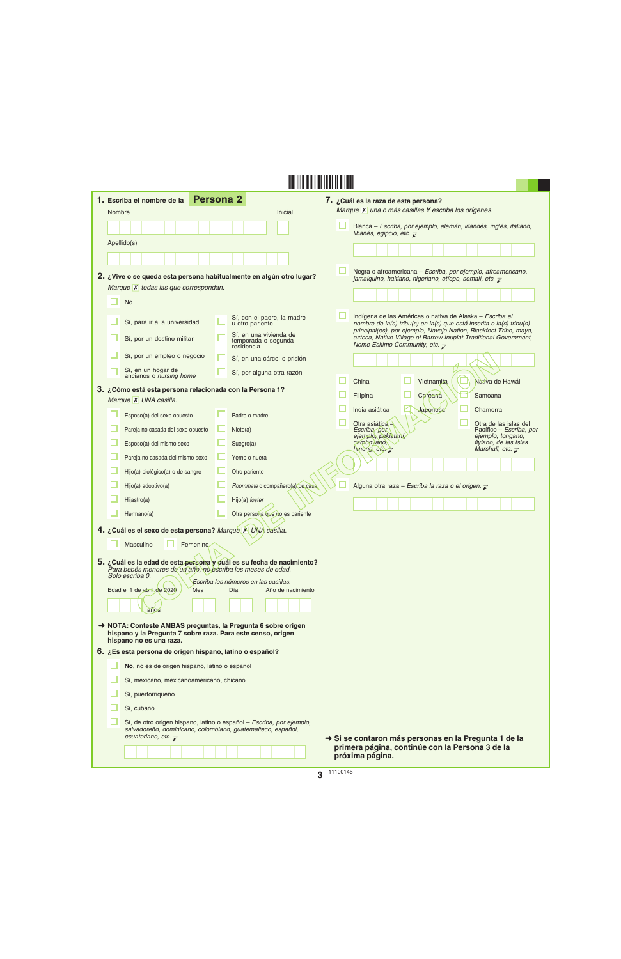| 1. Escriba el nombre de la<br>Nombre                                                                                                                 | <b>Persona 2</b><br>Inicial                                          | 7. ¿Cuál es la raza de esta persona?<br>Marque X una o más casillas Y escriba los orígenes.                                                                                                   |
|------------------------------------------------------------------------------------------------------------------------------------------------------|----------------------------------------------------------------------|-----------------------------------------------------------------------------------------------------------------------------------------------------------------------------------------------|
|                                                                                                                                                      |                                                                      | Blanca – Escriba, por ejemplo, alemán, irlandés, inglés, italiano,                                                                                                                            |
| Apellido(s)                                                                                                                                          |                                                                      | libanés, egipcio, etc. $\overline{\mathcal{L}}$                                                                                                                                               |
|                                                                                                                                                      |                                                                      |                                                                                                                                                                                               |
|                                                                                                                                                      |                                                                      | Negra o afroamericana - Escriba, por ejemplo, afroamericano,                                                                                                                                  |
| 2. ¿Vive o se queda esta persona habitualmente en algún otro lugar?                                                                                  |                                                                      | jamaiquino, haitiano, nigeriano, etíope, somalí, etc. $\overline{\mathcal{L}}$                                                                                                                |
| Marque X todas las que correspondan.                                                                                                                 |                                                                      |                                                                                                                                                                                               |
| <b>No</b>                                                                                                                                            |                                                                      |                                                                                                                                                                                               |
| Sí, para ir a la universidad                                                                                                                         | Sí, con el padre, la madre<br>u otro pariente                        | Indígena de las Américas o nativa de Alaska - Escriba el<br>nombre de la(s) tribu(s) en la(s) que está inscrita o la(s) tribu(s)                                                              |
| Sí, por un destino militar                                                                                                                           | Sí, en una vivienda de<br>temporada o segunda<br>residencia          | principal(es), por ejemplo, Navajo Nation, Blackfeet Tribe, maya,<br>azteca, Native Village of Barrow Inupiat Traditional Government,<br>Nome Eskimo Community, etc. $\overline{\mathcal{L}}$ |
| Sí, por un empleo o negocio                                                                                                                          | Sí, en una cárcel o prisión                                          |                                                                                                                                                                                               |
| Sí, en un hogar de<br>ancianos o nursing home                                                                                                        | Sí, por alguna otra razón                                            |                                                                                                                                                                                               |
| 3. ¿Cómo está esta persona relacionada con la Persona 1?                                                                                             |                                                                      | China<br>Vietnamita<br>Nativa de Hawái                                                                                                                                                        |
| Marque X UNA casilla.                                                                                                                                |                                                                      | Coreana<br>Filipina<br>Samoana                                                                                                                                                                |
| Esposo(a) del sexo opuesto                                                                                                                           | Padre o madre                                                        | India asiática<br>Japonesa<br>Chamorra                                                                                                                                                        |
| Pareja no casada del sexo opuesto                                                                                                                    | Nieto(a)                                                             | Otra asiática -<br>Otra de las islas del<br>Pacífico - Escriba, por<br>Escriba, por                                                                                                           |
| Esposo(a) del mismo sexo                                                                                                                             | Suegro(a)                                                            | ejemplo, pakistaní,<br>ejemplo, tongano,<br>fiyiano, de las Islas<br>cambovano,<br>hmong, etc. $\overline{z}$<br>Marshall, etc. $\overline{\mathcal{L}}$                                      |
| Pareja no casada del mismo sexo                                                                                                                      | Yerno o nuera                                                        |                                                                                                                                                                                               |
| Hijo(a) biológico(a) o de sangre                                                                                                                     | Otro pariente                                                        |                                                                                                                                                                                               |
| Hijo(a) adoptivo(a)                                                                                                                                  | Roommate o compañero(a) de casa                                      | Alguna otra raza - Escriba la raza o el origen. $\bar{z}$                                                                                                                                     |
| Hijastro(a)                                                                                                                                          | Hijo(a) foster                                                       |                                                                                                                                                                                               |
| Hermano(a)                                                                                                                                           | Otra persona que no es pariente                                      |                                                                                                                                                                                               |
| 4. ¿Cuál es el sexo de esta persona? Marquè X UNA casilla.                                                                                           |                                                                      |                                                                                                                                                                                               |
| Masculino<br>Femenino<br>5. ¿Cuál es la edad de esta persona y cuál es su fecha de nacimiento?                                                       |                                                                      |                                                                                                                                                                                               |
| Para bebés menores de un año, no escriba los meses de edad.<br>Solo escriba 0.                                                                       | Escriba los números en las casillas.                                 |                                                                                                                                                                                               |
| Edad el 1 de abril de 2020<br><b>Mes</b>                                                                                                             | Día<br>Año de nacimiento                                             |                                                                                                                                                                                               |
| años                                                                                                                                                 |                                                                      |                                                                                                                                                                                               |
| NOTA: Conteste AMBAS preguntas, la Pregunta 6 sobre origen<br>hispano y la Pregunta 7 sobre raza. Para este censo, origen<br>hispano no es una raza. |                                                                      |                                                                                                                                                                                               |
| 6. ¿Es esta persona de origen hispano, latino o español?                                                                                             |                                                                      |                                                                                                                                                                                               |
| No, no es de origen hispano, latino o español                                                                                                        |                                                                      |                                                                                                                                                                                               |
| Sí, mexicano, mexicanoamericano, chicano                                                                                                             |                                                                      |                                                                                                                                                                                               |
| Sí, puertorriqueño                                                                                                                                   |                                                                      |                                                                                                                                                                                               |
| Sí, cubano                                                                                                                                           |                                                                      |                                                                                                                                                                                               |
| salvadoreño, dominicano, colombiano, guatemalteco, español,<br>ecuatoriano, etc. $\overline{\mathcal{X}}$                                            | Sí, de otro origen hispano, latino o español - Escriba, por ejemplo, | Si se contaron más personas en la Pregunta 1 de la                                                                                                                                            |
|                                                                                                                                                      |                                                                      | primera página, continúe con la Persona 3 de la<br>próxima página.                                                                                                                            |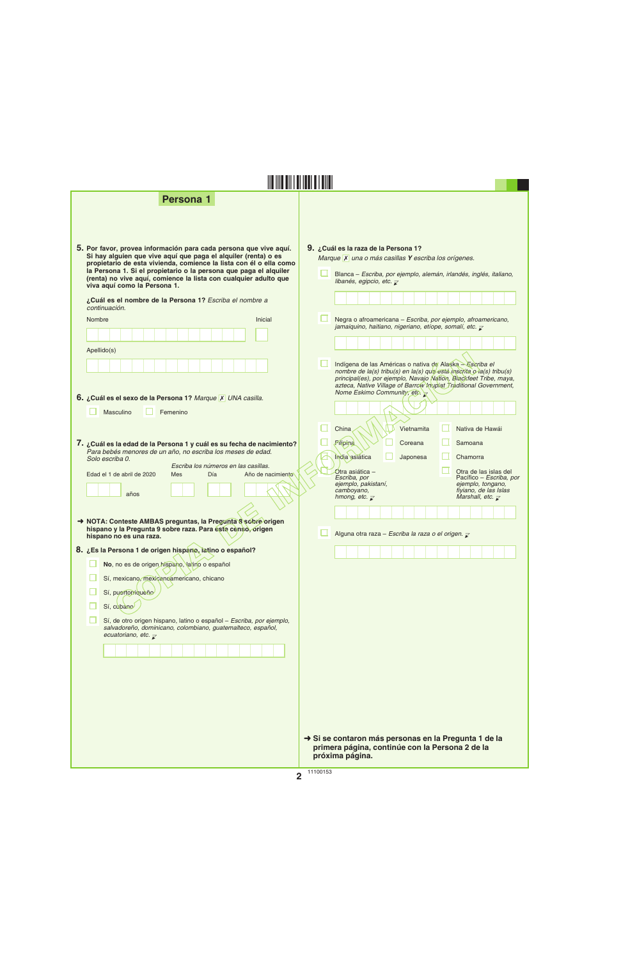**Persona 1**



| riva aqui como la i cisona i.                                                                                                                                                     |                                                                                                                                                                                                                                                                                                          |  |
|-----------------------------------------------------------------------------------------------------------------------------------------------------------------------------------|----------------------------------------------------------------------------------------------------------------------------------------------------------------------------------------------------------------------------------------------------------------------------------------------------------|--|
| ¿Cuál es el nombre de la Persona 1? Escriba el nombre a<br>continuación.                                                                                                          |                                                                                                                                                                                                                                                                                                          |  |
| Nombre<br>Inicial                                                                                                                                                                 | Negra o afroamericana - Escriba, por ejemplo, afroamericano,<br>jamaiquino, haitiano, nigeriano, etíope, somalí, etc. $\bar{\mathcal{L}}$                                                                                                                                                                |  |
|                                                                                                                                                                                   |                                                                                                                                                                                                                                                                                                          |  |
| Apellido(s)                                                                                                                                                                       |                                                                                                                                                                                                                                                                                                          |  |
| 6. ¿Cuál es el sexo de la Persona 1? Marque X UNA casilla.                                                                                                                        | Indígena de las Américas o nativa de Alaska - Escriba el<br>nombre de la(s) tribu(s) en la(s) que está inscrita o la(s) tribu(s)<br>principal(es), por ejemplo, Navajo Nation, Blackfeet Tribe, maya,<br>azteca, Native Village of Barrow Inupiat Traditional Government,<br>Nome Eskimo Community, etc. |  |
| Masculino<br>Femenino                                                                                                                                                             |                                                                                                                                                                                                                                                                                                          |  |
|                                                                                                                                                                                   | China<br>Vietnamita<br>Nativa de Hawái                                                                                                                                                                                                                                                                   |  |
| 7. ¿Cuál es la edad de la Persona 1 y cuál es su fecha de nacimiento?<br>Para bebés menores de un año, no escriba los meses de edad.<br>Solo escriba 0.                           | Filipina<br>Coreana<br>Samoana<br>India asiática<br>Chamorra<br>Japonesa                                                                                                                                                                                                                                 |  |
| Escriba los números en las casillas.<br>Día<br>Año de nacimiento<br>Edad el 1 de abril de 2020<br><b>Mes</b>                                                                      | Otra asiática -<br>Otra de las islas del<br>Pacífico - Escriba, por<br>Escriba, por                                                                                                                                                                                                                      |  |
| años                                                                                                                                                                              | ejemplo, tongano,<br>ejemplo, pakistaní,<br>camboyano,<br>fiyiano, de las Islas<br>Marshall, etc. $\overline{\mathcal{L}}$<br>hmong, etc. $\overline{\mathcal{L}}$                                                                                                                                       |  |
|                                                                                                                                                                                   |                                                                                                                                                                                                                                                                                                          |  |
| NOTA: Conteste AMBAS preguntas, la Pregunta 8 sobre origen<br>hispano y la Pregunta 9 sobre raza. Para este censo, origen<br>hispano no es una raza.                              | Alguna otra raza - Escriba la raza o el origen. z                                                                                                                                                                                                                                                        |  |
| 8. ¿Es la Persona 1 de origen hispano, latino o español?                                                                                                                          |                                                                                                                                                                                                                                                                                                          |  |
| No, no es de origen hispano, latino o español                                                                                                                                     |                                                                                                                                                                                                                                                                                                          |  |
| Sí, mexicano, mexicanoamericano, chicano                                                                                                                                          |                                                                                                                                                                                                                                                                                                          |  |
| Sí, puertorriqueño                                                                                                                                                                |                                                                                                                                                                                                                                                                                                          |  |
| Sí, cubano                                                                                                                                                                        |                                                                                                                                                                                                                                                                                                          |  |
| Sí, de otro origen hispano, latino o español - Escriba, por ejemplo,<br>salvadoreño, dominicano, colombiano, guatemalteco, español,<br>ecuatoriano, etc. $\overline{\mathcal{X}}$ |                                                                                                                                                                                                                                                                                                          |  |
|                                                                                                                                                                                   |                                                                                                                                                                                                                                                                                                          |  |
|                                                                                                                                                                                   |                                                                                                                                                                                                                                                                                                          |  |
|                                                                                                                                                                                   |                                                                                                                                                                                                                                                                                                          |  |
|                                                                                                                                                                                   |                                                                                                                                                                                                                                                                                                          |  |

**§,+"V¤**

➜ **Si se contaron más personas en la Pregunta 1 de la primera página, continúe con la Persona 2 de la próxima página.**

Blanca – *Escriba, por ejemplo, alemán, irlandés, inglés, italiano,* 

*Marque* **X** una o más casillas **Y** escriba los orígenes.

*libanés, egipcio, etc.*  $\bar{\mathcal{L}}$ 

u.

**9. ¿Cuál es la raza de la Persona 1?**